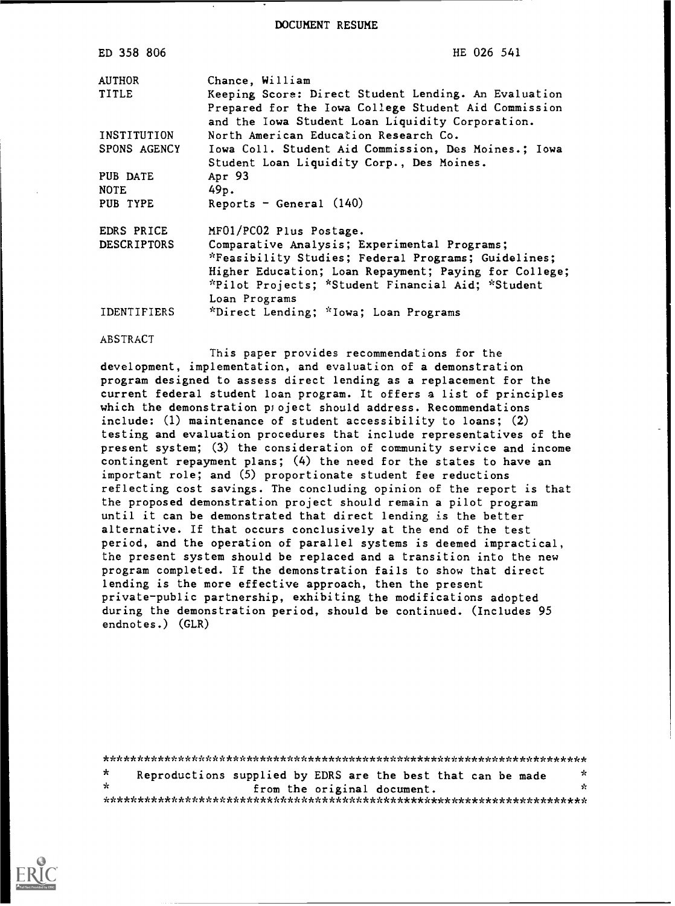DOCUMENT RESUME

| ED 358 806         | HE 026 541                                                                                                                                                       |
|--------------------|------------------------------------------------------------------------------------------------------------------------------------------------------------------|
| <b>AUTHOR</b>      | Chance, William                                                                                                                                                  |
| TITLE              | Keeping Score: Direct Student Lending. An Evaluation<br>Prepared for the Iowa College Student Aid Commission<br>and the Iowa Student Loan Liquidity Corporation. |
| INSTITUTION        | North American Education Research Co.                                                                                                                            |
| SPONS AGENCY       | Iowa Coll. Student Aid Commission, Des Moines.; Iowa<br>Student Loan Liquidity Corp., Des Moines.                                                                |
| PUB DATE           | Apr 93                                                                                                                                                           |
| <b>NOTE</b>        | 49p.                                                                                                                                                             |
| PUB TYPE           | Reports - General $(140)$                                                                                                                                        |
| EDRS PRICE         | MF01/PC02 Plus Postage.                                                                                                                                          |
| <b>DESCRIPTORS</b> | Comparative Analysis; Experimental Programs;<br>*Feasibility Studies; Federal Programs; Guidelines;                                                              |
|                    | Higher Education; Loan Repayment; Paying for College;<br>*Pilot Projects; *Student Financial Aid; *Student<br>Loan Programs                                      |
| <b>IDENTIFIERS</b> | *Direct Lending; *Iowa; Loan Programs                                                                                                                            |

ABSTRACT

This paper provides recommendations for the development, implementation, and evaluation of a demonstration program designed to assess direct lending as a replacement for the current federal student loan program. It offers a list of principles which the demonstration project should address. Recommendations include: (1) maintenance of student accessibility to loans; (2) testing and evaluation procedures that include representatives of the present system; (3) the consideration of community service and income contingent repayment plans; (4) the need for the states to have an important role; and (5) proportionate student fee reductions reflecting cost savings. The concluding opinion of the report is that the proposed demonstration project should remain a pilot program until it can be demonstrated that direct lending is the better alternative. If that occurs conclusively at the end of the test period, and the operation of parallel systems is deemed impractical, the present system should be replaced and a transition into the new program completed. If the demonstration fails to show that direct lending is the more effective approach, then the present private-public partnership, exhibiting the modifications adopted during the demonstration period, should be continued. (Includes 95 endnotes.) (GLR)

\*\*\*\*\*\*\*\*\*\*\*\*\*\*\*\*\*\*\*\*\*\*\*\*\*\*\*\*\*\*\*\*\*\*\*\*\*\*\*\*\*\*\*\*\*\*\*\*\*\*\*\*\*\*\*\*\*\*\*\*\*\*\*\*\*\*\*\*\*\*\*  $\star$ Reproductions supplied by EDRS are the best that can be made from the original document. \*\*\*\*\*\*\*\*\*\*\*\*\*\*\*\*\*\*\*\*\*\*\*\*\*\*\*\*\*\*\*\*\*\*\*\*\*\*\*\*\*\*\*\*\*\*\*\*\*\*\*\*\*\*\*\*\*\*\*\*\*\*\*\*\*\*\*\*\*\*\*

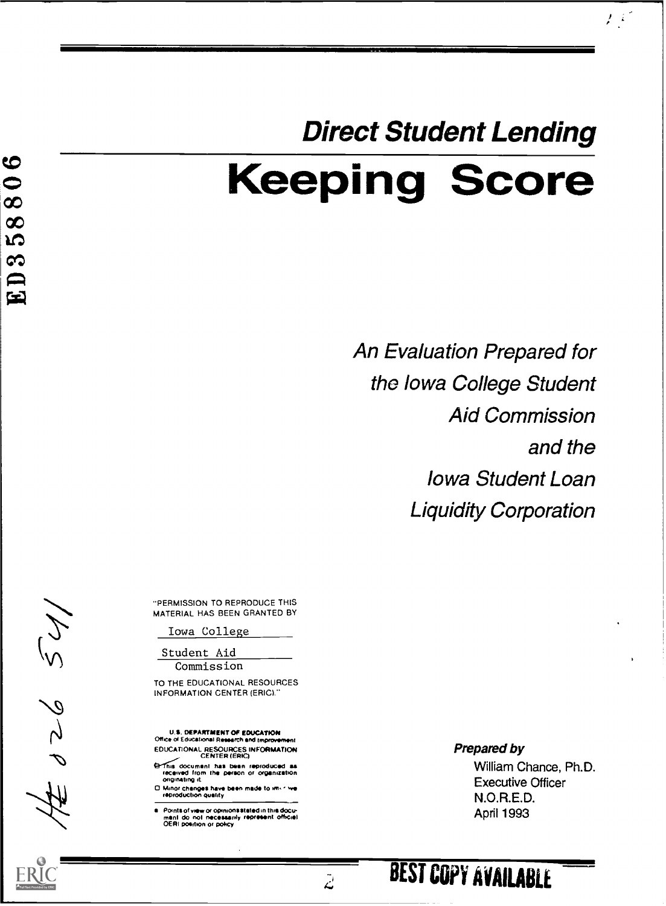# Direct Student Lending Keeping Score

An Evaluation Prepared for the Iowa College Student Aid Commission and the Iowa Student Loan Liquidity Corporation

 $E^{\rm eff}$ 

"PERMISSION TO REPRODUCE THIS MATERIAL. HAS BEEN GRANTED BY

Iowa College

Student Aid **Commission** 

TO THE EDUCATIONAL RESOURCES INFORMATION CENTER (ERIC)

U.S. DEPARTMENT OF EDUCATION<br>Office of Educational Research and improve EDUCATIONAL RESOURCES INFORMATION CENTER (ERIC)

**Griffilis document has been reproduced as<br>received from the person or organization**<br>originating it

□ Minor changes have been made to <del>im. sive</del><br>- reproduction quality

Points of view or opinions stated in this docu-<br>man! do ino! necessarily represent officie!<br>OERI position or policy

Prepared by

William Chance, Ph.D. Executive Officer N.O.R.E.D. April 1993

129929.

 $\tilde{\mathcal{L}}$ 

 $\boldsymbol{\circ}$  $\bullet$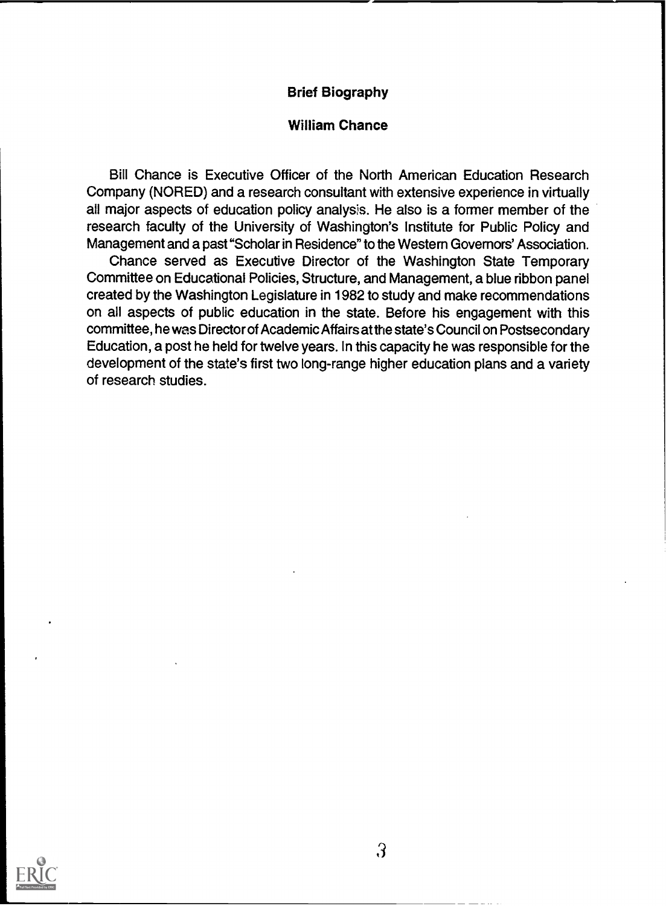#### Brief Biography

#### William Chance

Bill Chance is Executive Officer of the North American Education Research Company (NORED) and a research consultant with extensive experience in virtually all major aspects of education policy analysis. He also is a former member of the research faculty of the University of Washington's Institute for Public Policy and Management and a past "Scholar in Residence" to the Western Governors' Association.

Chance served as Executive Director of the Washington State Temporary Committee on Educational Policies, Structure, and Management, a blue ribbon panel created by the Washington Legislature in 1982 to study and make recommendations on all aspects of public education in the state. Before his engagement with this committee, he was Director of Academic Affairs at the state's Council on Postsecondary Education, a post he held for twelve years. In this capacity he was responsible for the development of the state's first two long-range higher education plans and a variety of research studies.

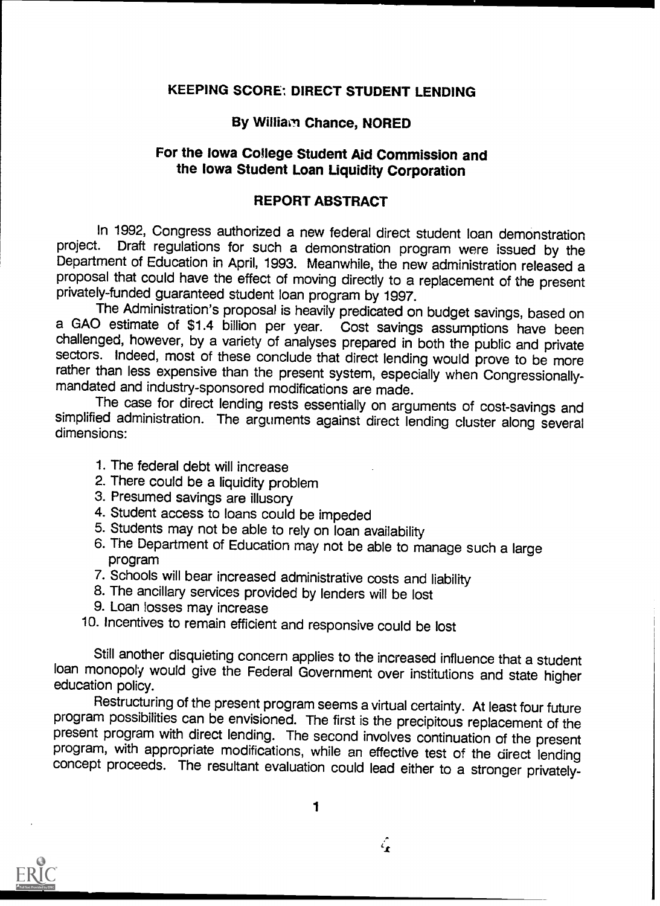# **KEEPING SCORE: DIRECT STUDENT LENDING**

# By William Chance, NORED

# For the Iowa College Student Aid Commission and the Iowa Student Loan Liquidity Corporation

#### REPORT ABSTRACT

In 1992, Congress authorized a new federal direct student loan demonstration<br>project. Draft regulations for such a demonstration program were issued by the Department of Education in April, 1993. Meanwhile, the new administration released a proposal that could have the effect of moving directly to a replacement of the present privately-funded guaranteed student loan program by 1997.

a GAO estimate of \$1.4 billion per year. Cost savings assumptions have been challenged, however, by a variety of analyses prepared in both the public and private sectors. Indeed, most of these conclude that direct lending would prove to be more rather than less expensive than the present system, especially when Congressionally- mandated and industry-sponsored modifications are made.

The case for direct lending rests essentially on arguments of cost-savings and simplified administration. The arguments against direct lending cluster along several dimensions:

- 1. The federal debt will increase
- 2. There could be a liquidity problem
- 3. Presumed savings are illusory
- 4. Student access to loans could be impeded
- 5. Students may not be able to rely on loan availability
- 6. The Department of Education may not be able to manage such a large program
- 7. Schools will bear increased administrative costs and liability
- 8. The ancillary services provided by lenders will be lost
- 9. Loan losses may increase

10. Incentives to remain efficient and responsive could be lost

Still another disquieting concern applies to the increased influence that a student loan monopoly would give the Federal Government over institutions and state higher education policy.

program possibilities can be envisioned. The first is the precipitous replacement of the present program with direct lending. The second involves continuation of the present program, with appropriate modifications, while a concept proceeds. The resultant evaluation could lead either to a stronger privately-



 $\mathcal{L}_{\bullet}$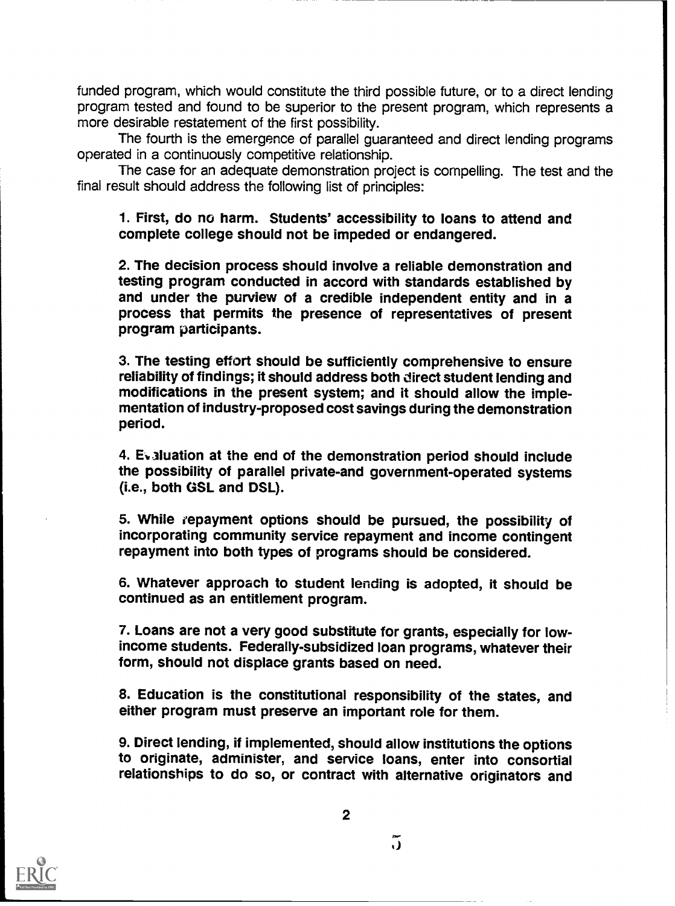funded program, which would constitute the third possible future, or to a direct lending program tested and found to be superior to the present program, which represents a more desirable restatement of the first possibility.

The fourth is the emergence of parallel guaranteed and direct lending programs operated in a continuously competitive relationship.

The case for an adequate demonstration project is compelling. The test and the final result should address the following list of principles:

1. First, do no harm. Students' accessibility to loans to attend and complete college should not be impeded or endangered.

2. The decision process should involve a reliable demonstration and testing program conducted in accord with standards established by and under the purview of a credible independent entity and in a process that permits the presence of representatives of present program participants.

3. The testing effort should be sufficiently comprehensive to ensure reliability of findings; it should address both direct student lending and modifications in the present system; and it should allow the implementation of industry-proposed cost savings during the demonstration period.

4. Ev aluation at the end of the demonstration period should include the possibility of parallel private-and government-operated systems (i.e., both GSL and DSL).

5. While repayment options should be pursued, the possibility of incorporating community service repayment and income contingent repayment into both types of programs should be considered.

6. Whatever approach to student lending is adopted, it should be continued as an entitlement program.

7. Loans are not a very good substitute for grants, especially for lowincome students. Federally-subsidized loan programs, whatever their form, should not displace grants based on need.

8. Education is the constitutional responsibility of the states, and either program must preserve an important role for them.

9. Direct lending, if implemented, should allow institutions the options to originate, administer, and service loans, enter into consortial relationships to do so, or contract with alternative originators and

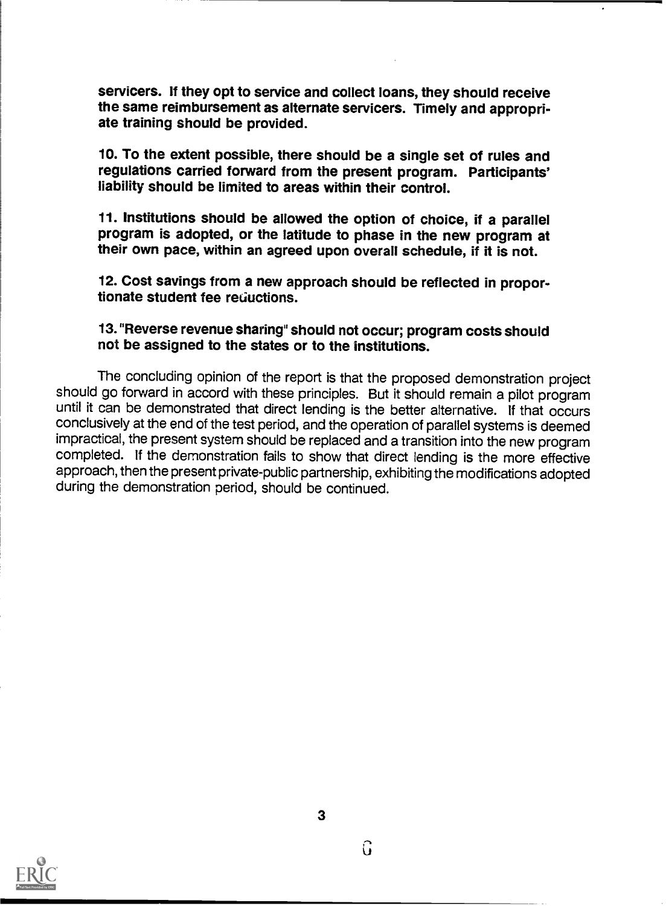servicers. If they opt to service and collect loans, they should receive the same reimbursement as alternate servicers. Timely and appropriate training should be provided.

10. To the extent possible, there should be a single set of rules and regulations carried forward from the present program. Participants' liability should be limited to areas within their control.

11. Institutions should be allowed the option of choice, if a parallel program is adopted, or the latitude to phase in the new program at their own pace, within an agreed upon overall schedule, if it is not.

12. Cost savings from a new approach should be reflected in proportionate student fee reductions.

# 13. "Reverse revenue sharing" should not occur; program costs should not be assigned to the states or to the institutions.

The concluding opinion of the report is that the proposed demonstration project should go forward in accord with these principles. But it should remain a pilot program until it can be demonstrated that direct lending is the better alternative. If that occurs conclusively at the end of the test period, and the operation of parallel systems is deemed impractical, the present system should be replaced and a transition into the new program completed. If the demonstration fails to show that direct lending is the more effective approach, then the present private-public partnership, exhibiting the modifications adopted during the demonstration period, should be continued.

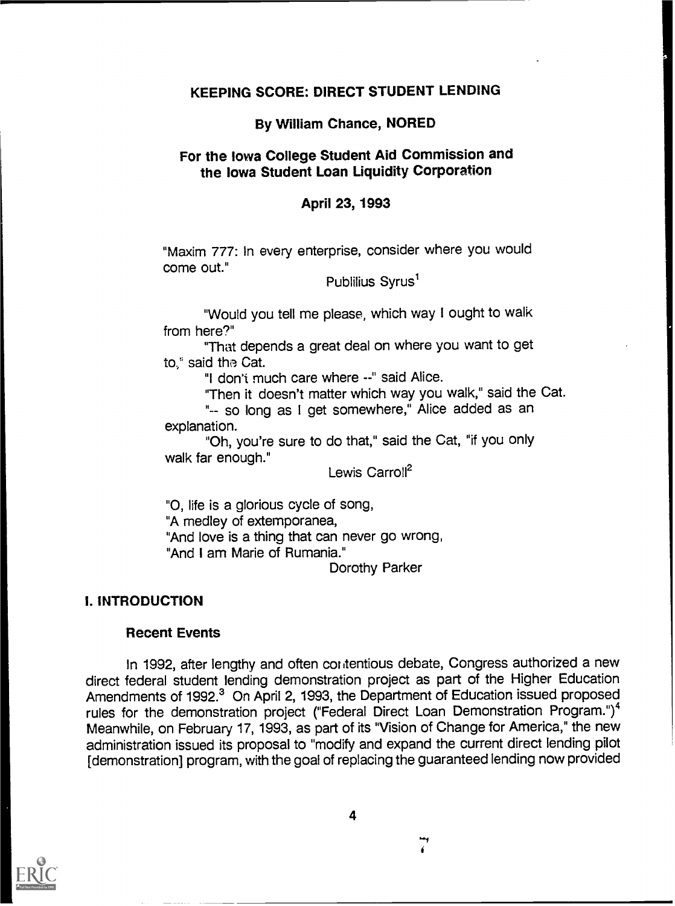#### KEEPING SCORE: DIRECT STUDENT LENDING

#### By William Chance, NORED

#### For the Iowa College Student Aid Commission and the Iowa Student Loan Liquidity Corporation

#### April 23, 1993

"Maxim 777: In every enterprise, consider where you would come out."

Publilius Syrus<sup>1</sup>

"Would you tell me please, which way I ought to walk from here?"

"That depends a great deal on where you want to get to." said the Cat.

"I don't much care where --" said Alice.

"Then it doesn't matter which way you walk," said the Cat.

"-- so long as I get somewhere," Alice added as an explanation.

"Oh, you're sure to do that," said the Cat, "if you only walk far enough."

Lewis Carroll<sup>2</sup>

"0, life is a glorious cycle of song,

"A medley of extemporanea,

"And love is a thing that can never go wrong,

"And I am Marie of Rumania."

Dorothy Parker

#### I. INTRODUCTION

#### Recent Events

In 1992, after lengthy and often contentious debate, Congress authorized a new direct federal student lending demonstration project as part of the Higher Education Amendments of 1992.<sup>3</sup> On April 2, 1993, the Department of Education issued proposed rules for the demonstration project ("Federal Direct Loan Demonstration Program.")<sup>4</sup> Meanwhile, on February 17, 1993, as part of its "Vision of Change for America," the new administration issued its proposal to "modify and expand the current direct lending pilot [demonstration] program, with the goal of replacing the guaranteed lending now provided



A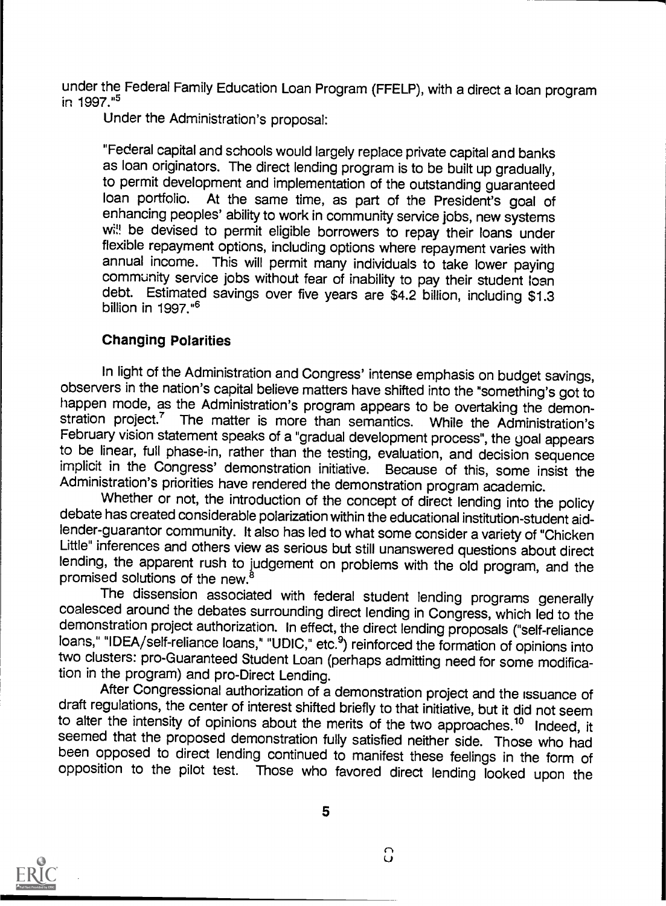under the Federal Family Education Loan Program (FFELP), with a direct a loan program in 1997."5

Under the Administration's proposal:

"Federal capital and schools would largely replace private capital and banks as loan originators. The direct lending program is to be built up gradually, to permit development and implementation of the outstanding guaranteed<br>loan portfolio. At the same time, as nart of the President's goal of At the same time, as part of the President's goal of enhancing peoples' ability to work in community service jobs, new systems wi!! be devised to permit eligible borrowers to repay their loans under flexible repayment options, including options where repayment varies with annual income. This will permit many individuals to take lower paying community service jobs without fear of inability to pay their student loan debt. Estimated savings over five years are \$4.2 billion, including \$1.3 billion in  $1997.^{\tiny{\text{16}}}$ 

#### Changing Polarities

In light of the Administration and Congress' intense emphasis on budget savings, observers in the nation's capital believe matters have shifted into the "something's got to happen mode, as the Administration's program appears to be overtaking the demonstration project.<sup>7</sup> The matter is more than semantics. While the Administration's February vision statement speaks of a "gradual development process", the goal appears to be linear, full phase-in, rather than the testing, evaluation, and decision sequence implicit in the Congress' demonstration initiative. Because of this, some insist the

Whether or not, the introduction of the concept of direct lending into the policy debate has created considerable polarization within the educational institution-student aidlender-guarantor community. It also has led to what some consider a variety of "Chicken Little" inferences and others view as serious but still unanswered questions about direct lending, the apparent rush to judgement on problems with the old program, and the promised solutions of the new.<sup>8</sup>

The dissension associated with federal student lending programs generally coalesced around the debates surrounding direct lending in Congress, which led to the demonstration project authorization. In effect, the direct lending proposals ("self-reliance loans," "IDEA/self-reliance loans," "UDIC," etc.<sup>9</sup>) reinforced the formation of opinions into two clusters: pro-Guaranteed Student Loan (perhaps admitting need for some modification in the program) and pro-Direct Lending.<br>After Congressional authorization of a demonstration project and the issuance of

draft regulations, the center of interest shifted briefly to that initiative, but it did not seem<br>to alter the intensity of opinions about the merits of the two approaches.<sup>10</sup> Indeed, it seemed that the proposed demonstration fully satisfied neither side. Those who had<br>been opposed to direct lending continued to manifest these feelings in the form of opposition to the pilot test. Those who favored direct lending looked upon the

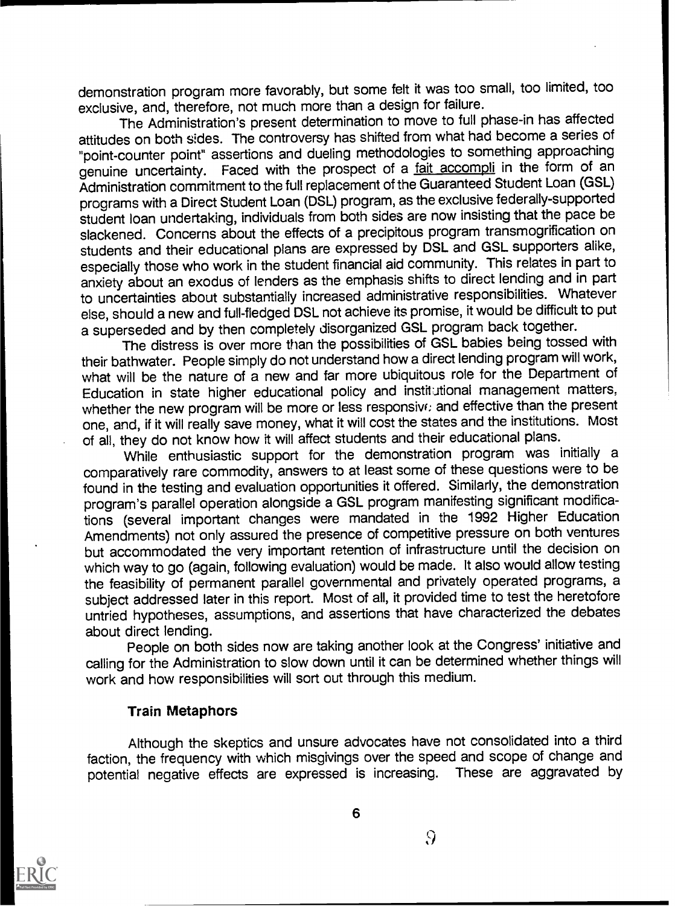demonstration program more favorably, but some felt it was too small, too limited, too exclusive, and, therefore, not much more than a design for failure.

The Administration's present determination to move to full phase-in has affected attitudes on both sides. The controversy has shifted from what had become a series of "point-counter point" assertions and dueling methodologies to something approaching genuine uncertainty. Faced with the prospect of a fait accompli in the form of an Administration commitment to the full replacement of the Guaranteed Student Loan (GSL) programs with a Direct Student Loan (DSL) program, as the exclusive federally-supported student loan undertaking, individuals from both sides are now insisting that the pace be slackened. Concerns about the effects of a precipitous program transmogrification on students and their educational plans are expressed by DSL and GSL supporters alike, especially those who work in the student financial aid community. This relates in part to anxiety about an exodus of lenders as the emphasis shifts to direct lending and in part to uncertainties about substantially increased administrative responsibilities. Whatever else, should a new and full-fledged DSL not achieve its promise, it would be difficult to put a superseded and by then completely disorganized GSL program back together.

The distress is over more than the possibilities of GSL babies being tossed with their bathwater. People simply do not understand how a direct lending program will work, what will be the nature of a new and far more ubiquitous role for the Department of Education in state higher educational policy and institutional management matters, whether the new program will be more or less responsive: and effective than the present one, and, if it will really save money, what it will cost the states and the institutions. Most of all, they do not know how it will affect students and their educational plans.

While enthusiastic support for the demonstration program was initially a comparatively rare commodity, answers to at least some of these questions were to be found in the testing and evaluation opportunities it offered. Similarly, the demonstration program's parallel operation alongside a GSL program manifesting significant modifications (several important changes were mandated in the 1992 Higher Education Amendments) not only assured the presence of competitive pressure on both ventures but accommodated the very important retention of infrastructure until the decision on which way to go (again, following evaluation) would be made. It also would allow testing the feasibility of permanent parallel governmental and privately operated programs, a subject addressed later in this report. Most of all, it provided time to test the heretofore untried hypotheses, assumptions, and assertions that have characterized the debates about direct lending.

People on both sides now are taking another look at the Congress' initiative and calling for the Administration to slow down until it can be determined whether things will work and how responsibilities will sort out through this medium.

#### Train Metaphors

Although the skeptics and unsure advocates have not consolidated into a third faction, the frequency with which misgivings over the speed and scope of change and potential negative effects are expressed is increasing. These are aggravated by



6

 $\Omega$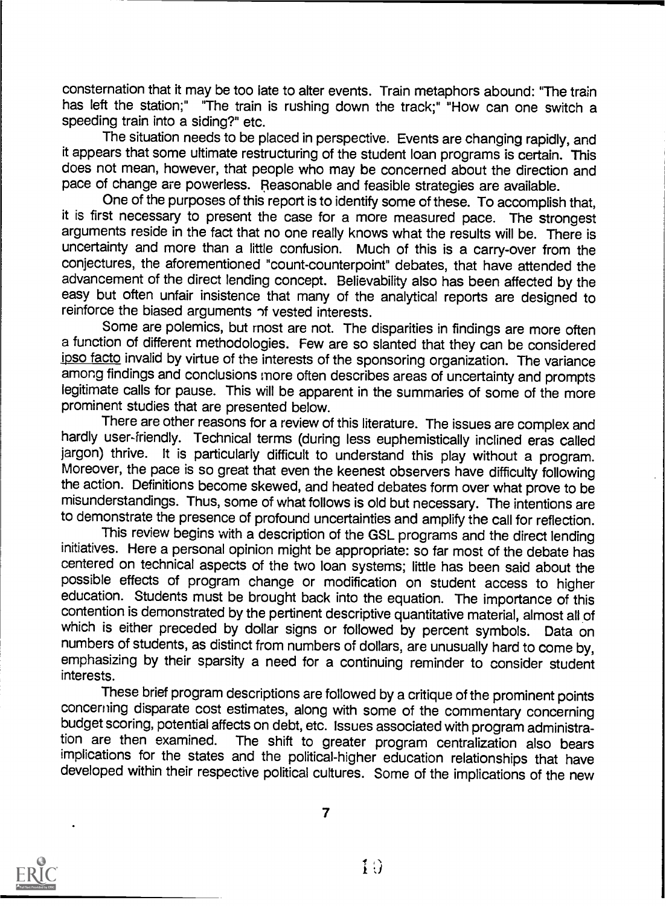consternation that it may be too late to alter events. Train metaphors abound: "The train has left the station;" "The train is rushing down the track;" "How can one switch a speeding train into a siding?" etc.

The situation needs to be placed in perspective. Events are changing rapidly, and it appears that some ultimate restructuring of the student loan programs is certain. This does not mean, however, that people who may be concerned about the direction and pace of change are powerless. Reasonable and feasible strategies are available.

One of the purposes of this report is to identify some of these. To accomplish that, it is first necessary to present the case for a more measured pace. The strongest arguments reside in the fact that no one really knows what the results will be. There is uncertainty and more than a little confusion. Much of this is a carry-over from the conjectures, the aforementioned "count-counterpoint" debates, that have attended the advancement of the direct lending concept. Believability also has been affected by the easy but often unfair insistence that many of the analytical reports are designed to reinforce the biased arguments of vested interests.

Some are polemics, but most are not. The disparities in findings are more often a function of different methodologies. Few are so slanted that they can be considered ipso facto invalid by virtue of the interests of the sponsoring organization. The variance among findings and conclusions more often describes areas of uncertainty and prompts legitimate calls for pause. This will be apparent in the summaries of some of the more prominent studies that are presented below.

There are other reasons for a review of this literature. The issues are complex and hardly user-friendly. Technical terms (during less euphemistically inclined eras called jargon) thrive. It is particularly difficult to understand this play without a program. Moreover, the pace is so great that even the keenest observers have difficulty following the action. Definitions become skewed, and heated debates form over what prove to be misunderstandings. Thus, some of what follows is old but necessary. The intentions are to demonstrate the presence of profound uncertainties and amplify the call for reflection.

This review begins with a description of the GSL programs and the direct lending initiatives. Here a personal opinion might be appropriate: so far most of the debate has centered on technical aspects of the two loan systems; little has been said about the possible effects of program change or modification on student access to higher education. Students must be brought back into the equation. The importance of this contention is demonstrated by the pertinent descriptive quantitative material, almost all of which is either preceded by dollar signs or followed by percent symbols. Data on numbers of students, as distinct from numbers of dollars, are unusually hard to come by, emphasizing by their sparsity a need for a continuing reminder to consider student interests.

These brief program descriptions are followed by a critique of the prominent points concerning disparate cost estimates, along with some of the commentary concerning budget scoring, potential affects on debt, etc. Issues associated with program administra-<br>tion are then examined. The shift to greater program centralization also bears The shift to greater program centralization also bears implications for the states and the political-higher education relationships that have developed within their respective political cultures. Some of the implications of the new

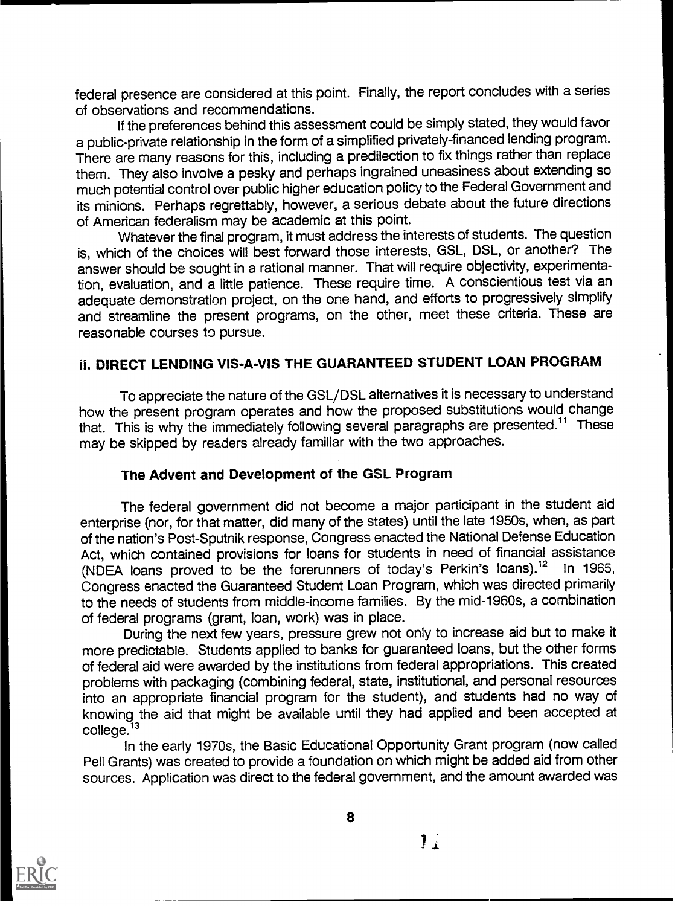federal presence are considered at this point. Finally, the report concludes with a series of observations and recommendations.

If the preferences behind this assessment could be simply stated, they would favor a public-private relationship in the form of a simplified privately-financed lending program. There are many reasons for this, including a predilection to fix things rather than replace them. They also involve a pesky and perhaps ingrained uneasiness about extending so much potential control over public higher education policy to the Federal Government and its minions. Perhaps regrettably, however, a serious debate about the future directions of American federalism may be academic at this point.

Whatever the final program, it must address the interests of students. The question is, which of the choices will best forward those interests, GSL, DSL, or another? The answer should be sought in a rational manner. That will require objectivity, experimentation, evaluation, and a little patience. These require time. A conscientious test via an adequate demonstration project, on the one hand, and efforts to progressively simplify and streamline the present programs, on the other, meet these criteria. These are reasonable courses to pursue.

# DIRECT LENDING VIS-A-VIS THE GUARANTEED STUDENT LOAN PROGRAM

To appreciate the nature of the GSL/DSL alternatives it is necessary to understand how the present program operates and how the proposed substitutions would change that. This is why the immediately following several paragraphs are presented.<sup>11</sup> These may be skipped by readers already familiar with the two approaches.

#### The Advent and Development of the GSL Program

The federal government did not become a major participant in the student aid enterprise (nor, for that matter, did many of the states) until the late 1950s, when, as part of the nation's Post-Sputnik response, Congress enacted the National Defense Education Act, which contained provisions for loans for students in need of financial assistance<br>(NDFA loans proved to be the forerunners of today's Perkin's loans).<sup>12</sup> In 1965. (NDEA loans proved to be the forerunners of today's Perkin's loans).<sup>12</sup> Congress enacted the Guaranteed Student Loan Program, which was directed primarily to the needs of students from middle-income families. By the mid-1960s, a combination of federal programs (grant, loan, work) was in place.

During the next few years, pressure grew not only to increase aid but to make it more predictable. Students applied to banks for guaranteed loans, but the other forms of federal aid were awarded by the institutions from federal appropriations. This created problems with packaging (combining federal, state, institutional, and personal resources into an appropriate financial program for the student), and students had no way of knowing the aid that might be available until they had applied and been accepted at college.<sup>13</sup>

In the early 1970s, the Basic Educational Opportunity Grant program (now called Pell Grants) was created to provide a foundation on which might be added aid from other sources. Application was direct to the federal government, and the amount awarded was



8

 $\mathbf{1}$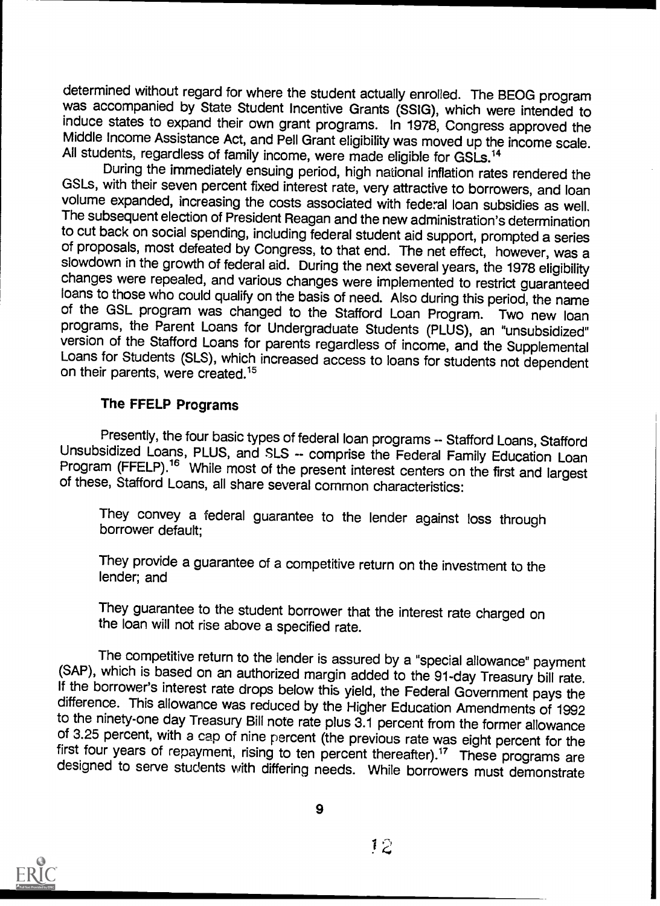determined without regard for where the student actually enrolled. The BEOG program was accompanied by State Student Incentive Grants (SS1G), which were intended to induce states to expand their own grant programs. In 1978, Congress approved the Middle Income Assistance Act, and Pell Grant eligibility was moved up the income scale. All students, regardless of family income, were made eligible for GSLs.<sup>14</sup>

During the immediately ensuing period, high national inflation rates rendered the GSLs, with their seven percent fixed interest rate, very attractive to borrowers, and loan volume expanded, increasing the costs associated with federal loan subsidies as well. The subsequent election of President Reagan and the new administration's determination of proposals, most defeated by Congress, to that end. The net effect, however, was a slowdown in the growth of federal aid. During the next several years, the 1978 eligibility changes were repealed, and various changes were implemented to restrict guaranteed loans to those who could qualify on the basis of need. Also during this period, the name of the GSL program was changed to the Stafford Loan Program. Two new loan programs, the Parent Loans for Undergraduate Students (PLUS version of the Stafford Loans for parents regardless of income, and the Supplemental Loans for Students (SLS), which increased access to loans for students not dependent on their parents. were created.<sup>15</sup>

#### The FFELP Programs

Presently, the four basic types of federal loan programs -- Stafford Loans, Stafford Unsubsidized Loans, PLUS, and SLS -- comprise the Federal Family Education Loan Program (FFELP).<sup>16</sup> While most of the present interest c

They convey a federal guarantee to the lender against loss through borrower default;

They provide a guarantee of a competitive return on the investment to the lender; and

They guarantee to the student borrower that the interest rate charged on the loan will not rise above a specified rate.

The competitive return to the iender is assured by a "special allowance" payment (SAP), which is based on an authorized margin added to the 91-day Treasury bill rate. If the borrower's interest rate drops below this yield, of 3.25 percent, with a cap of nine percent (the previous rate was eight percent for the first four years of repayment, rising to ten percent thereafter).<sup>17</sup> These programs are designed to serve students with differing ne



9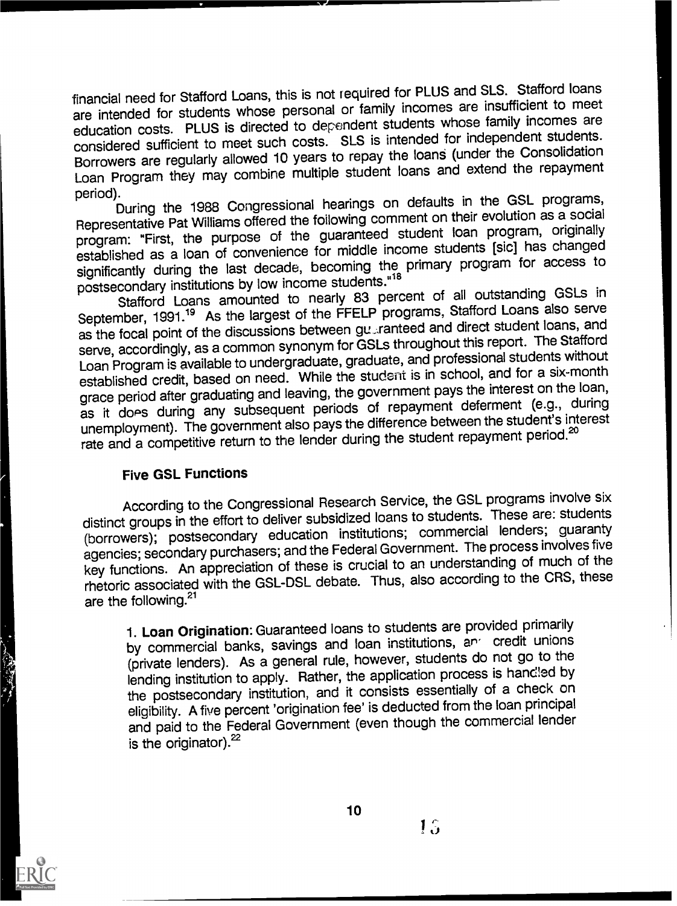financial need for Stafford Loans, this is not required for PLUS and SLS. Stafford loans are intended for students whose personal or family incomes are insufficient to meet education costs. PLUS is directed to dependent students whose family incomes are considered sufficient to meet such costs. SLS is intended for independent students. Borrowers are regularly allowed 10 years to repay the loans (under the Consolidation Loan Program they may combine multiple student loans and extend the repayment

period). During the 1988 Congressional hearings on defaults in the GSL programs, Representative Pat Williams offered the following comment on their evolution as a social program: "First, the purpose of the guaranteed student loan program, originally established as a loan of convenience for middle income students [sic] has changed significantly during the last decade, becoming the primary program for access to postsecondary institutions by low income students."<sup>18</sup>

Stafford Loans amounted to nearly 83 percent of all outstanding GSLs in September, 1991.<sup>19</sup> As the largest of the FFELP programs, Stafford Loans also serve as the focal point of the discussions between gut ranteed and direct student loans, and serve, accordingly, as a common synonym for GSLs throughout this report. The Stafford Loan Program is available to undergraduate, graduate, and professional students without established credit, based on need. While the student is in school, and for a six-month grace period after graduating and leaving, the government pays the interest on the loan, as it does during any subsequent periods of repayment deferment (e.g., during unemployment). The government also pays the difference between the student's interest rate and a competitive return to the lender during the student repayment period.<sup>20</sup>

#### Five GSL Functions

According to the Congressional Research Service, the GSL programs involve six distinct groups in the effort to deliver subsidized loans to students. These are: students (borrowers); postsecondary education institutions; commercial lenders; guaranty agencies; secondary purchasers; and the Federal Government. The process involves five key functions. An appreciation of these is crucial to an understanding of much of the rhetoric associated with the GSL-DSL debate. Thus, also according to the CRS, these are the following.<sup>21</sup>

1. Loan Origination: Guaranteed loans to students are provided primarily by commercial banks, savings and loan institutions, and credit unions (private lenders). As a general rule, however, students do not go to the lending institution to apply. Rather, the application process is handled by the postsecondary institution, and it consists essentially of a check on eligibility. A five percent 'origination fee' is deducted from the loan principal and paid to the Federal Government (even though the commercial lender is the originator). $22$ 

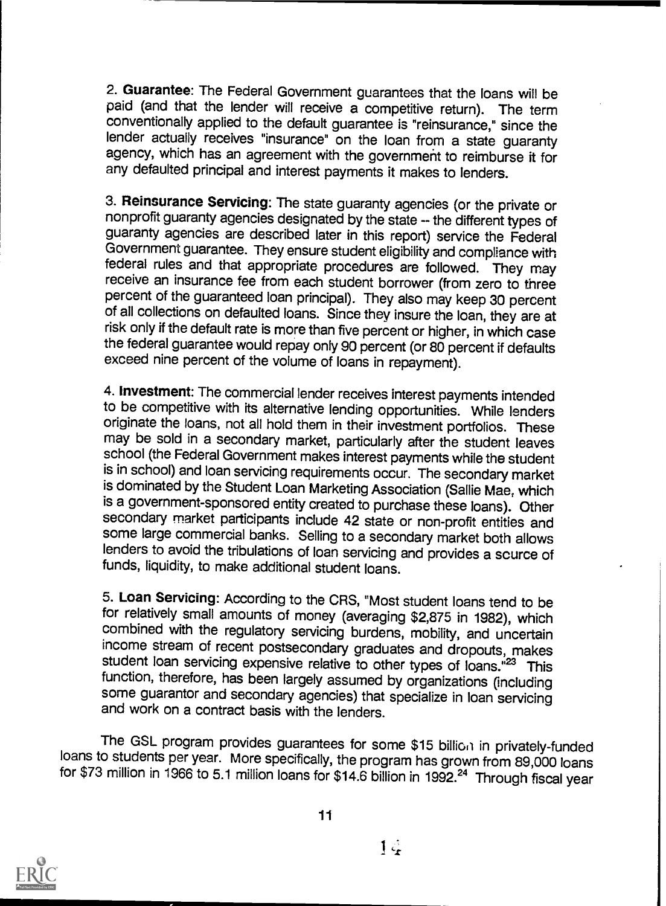2. Guarantee: The Federal Government guarantees that the loans will be paid (and that the lender will receive a competitive return). The term conventionally applied to the default guarantee is "reinsurance," since the lender actually receives "insurance" on the loan from a state guaranty agency, which has an agreement with the government to reimburse it for any defaulted principal and interest payments it makes to lenders.

3. Reinsurance Servicing: The state guaranty agencies (or the private or nonprofit guaranty agencies designated by the state -- the different types of guaranty agencies are described later in this report) service the Federal Government guarantee. They ensure student eligibility and compliance with federal rules and that appropriate procedures are followed. They may receive an insurance fee from each student borrower (from zero to three percent of the guaranteed loan principal). They also may keep 30 percent of all collections on defaulted loans. Since they insure the loan, they are at<br>risk only if the default rate is more than five percent or higher, in which case the federal guarantee would repay only 90 percent (or 80 percent if defaults exceed nine percent of the volume of loans in repayment).

4. Investment: The commercial lender receives interest payments intended to be competitive with its alternative lending opportunities. While lenders originate the loans, not all hold them in their investment portfolios. These may be sold in a secondary market, particularly after the student leaves school (the Federal Government makes interest payments while the student is in school) and loan servicing requirements occur. The secondary market is dominated by the Student Loan Marketing Association (Sallie Mae, which is a government-sponsored entity created to purchase these loans). Other secondary market participants include 42 state or non-profit entities and some large commercial banks. Selling to a secondary market both allows lenders to avoid the tribulations of loan servicing and provides a scurce of funds, liquidity, to make additional student loans.

5. Loan Servicing: According to the CRS, "Most student loans tend to be for relatively small amounts of money (averaging \$2,875 in 1982), which combined with the regulatory servicing burdens, mobility, and uncertain income stream of recent postsecondary graduates and dropouts, makes student loan servicing expensive relative to other types of loans."<sup>23</sup> This function, therefore, has been largely assumed by organizations (including some guarantor and secondary agencies) that specialize in loan servicing and work on a contract basis with the lenders.

The GSL program provides guarantees for some \$15 billion in privately-funded loans to students per year. More specifically, the program has grown from 89,000 loans for \$73 million in 1966 to 5.1 million loans for \$14.6 billion in 1992.24 Through fiscal year



11

 $1\ddot{Q}$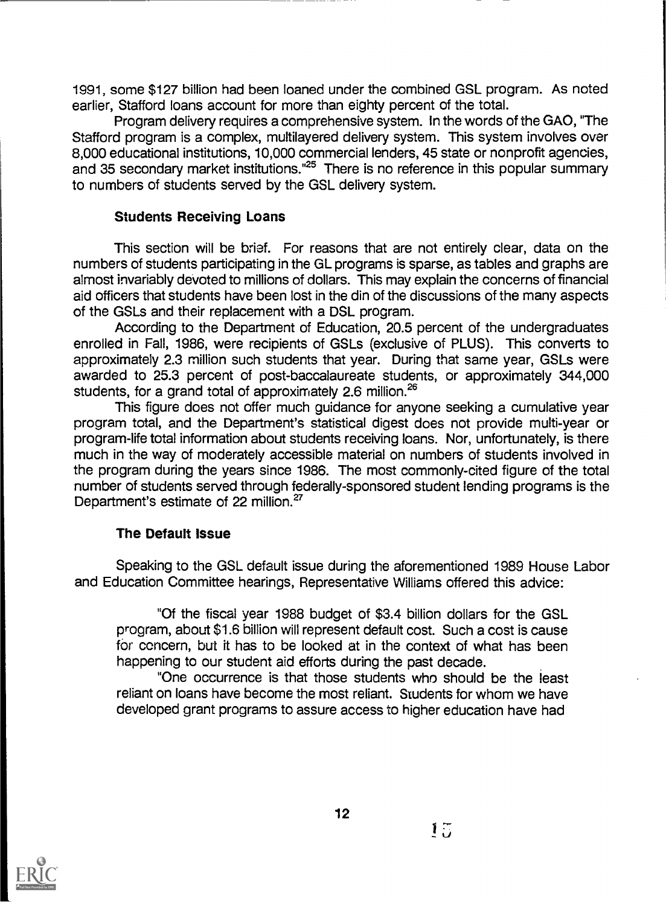1991, some \$127 billion had been loaned under the combined GSL program. As noted earlier, Stafford loans account for more than eighty percent of the total.

Program delivery requires a comprehensive system. In the words of the GAO, "The Stafford program is a complex, multilayered delivery system. This system involves over 8,000 educational institutions, 10,000 commercial lenders, 45 state or nonprofit agencies, and 35 secondary market institutions."25 There is no reference in this popular summary to numbers of students served by the GSL delivery system.

# Students Receiving Loans

This section will be brief. For reasons that are not entirely clear, data on the numbers of students participating in the GL programs is sparse, as tables and graphs are almost invariably devoted to millions of dollars. This may explain the concerns of financial aid officers that students have been lost in the din of the discussions of the many aspects of the GSLs and their replacement with a DSL program.

According to the Department of Education, 20.5 percent of the undergraduates enrolled in Fall, 1986, were recipients of GSLs (exclusive of PLUS). This converts to approximately 2.3 million such students that year. During that same year, GSLs were awarded to 25.3 percent of post-baccalaureate students, or approximately 344,000 students, for a grand total of approximately 2.6 million.<sup>26</sup>

This figure does not offer much guidance for anyone seeking a cumulative year program total, and the Department's statistical digest does not provide multi-year or program-life total information about students receiving loans. Nor, unfortunately, is there much in the way of moderately accessible material on numbers of students involved in the program during the years since 1986. The most commonly-cited figure of the total number of students served through federally-sponsored student lending programs is the Department's estimate of 22 million.<sup>27</sup>

# The Default Issue

Speaking to the GSL default issue during the aforementioned 1989 House Labor and Education Committee hearings, Representative Williams offered this advice:

"Of the fiscal year 1988 budget of \$3.4 billion dollars for the GSL program, about \$1.6 billion will represent default cost. Such a cost is cause for concern, but it has to be looked at in the context of what has been happening to our student aid efforts during the past decade.

"One occurrence is that those students who should be the least reliant on loans have become the most reliant. Students for whom we have developed grant programs to assure access to higher education have had

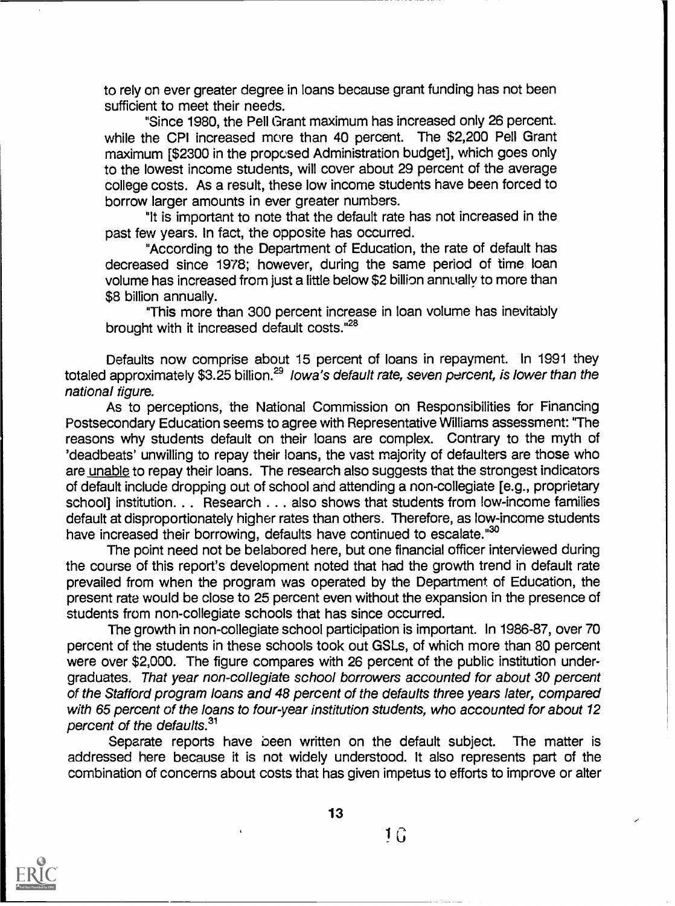to rely on ever greater degree in loans because grant funding has not been sufficient to meet their needs.

"Since 1980, the Pell Grant maximum has increased only 26 percent. while the CPI increased more than 40 percent. The \$2,200 Pell Grant maximum [\$2300 in the proposed Administration budget], which goes only to the lowest income students, will cover about 29 percent of the average college costs. As a result, these low income students have been forced to borrow larger amounts in ever greater numbers.

"It is important to note that the default rate has not increased in the past few years. In fact, the opposite has occurred.

"According to the Department of Education, the rate of default has decreased since 1978; however, during the same period of time loan volume has increased from just a little below \$2 billion annually to more than \$8 billion annually.

"This more than 300 percent increase in loan volume has inevitably brought with it increased default costs."<sup>28</sup>

Defaults now comprise about 15 percent of loans in repayment. In 1991 they totaled approximately \$3.25 billion.<sup>29</sup> Iowa's default rate, seven percent, is lower than the national figure.

As to perceptions, the National Commission on Responsibilities for Financing Postsecondary Education seems to agree with Representative Williams assessment: 'The reasons why students default on their loans are complex. Contrary to the myth of 'deadbeats' unwilling to repay their loans, the vast majority of defaulters are those who are unable to repay their loans. The research also suggests that the strongest indicators of default include dropping out of school and attending a non-collegiate [e.g., proprietary school] institution. . . Research . . . also shows that students from low-income families default at disproportionately higher rates than others. Therefore, as low-income students have increased their borrowing, defaults have continued to escalate."<sup>30</sup>

The point need not be belabored here, but one financial officer interviewed during the course of this report's development noted that had the growth trend in default rate prevailed from when the program was operated by the Department of Education, the present rate would be close to 25 percent even without the expansion in the presence of students from non-collegiate schools that has since occurred.

The growth in non-collegiate school participation is important. In 1986-87, over 70 percent of the students in these schools took out GSLs, of which more than 80 percent were over \$2,000. The figure compares with 26 percent of the public institution undergraduates. That year non-collegiate school borrowers accounted for about 30 percent of the Stafford program loans and 48 percent of the defaults three years later, compared with 65 percent of the loans to four-year institution students, who accounted for about 12 percent of the defaults.<sup>31</sup>

Separate reports have been written on the default subject. The matter is addressed here because it is not widely understood. It also represents part of the combination of concerns about costs that has given impetus to efforts to improve or alter



13

 $1\,\mathrm{G}$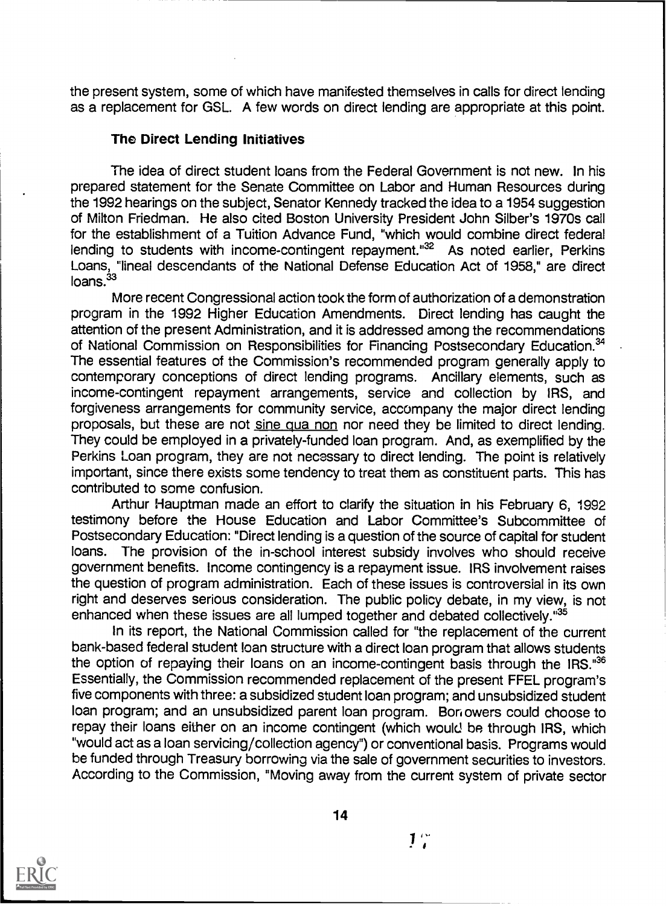the present system, some of which have manifested themselves in calls for direct lending as a replacement for GSL. A few words on direct lending are appropriate at this point.

#### The Direct Lending Initiatives

The idea of direct student loans from the Federal Government is not new. In his prepared statement for the Senate Committee on Labor and Human Resources during the 1992 hearings on the subject, Senator Kennedy tracked the idea to a 1954 suggestion of Milton Friedman. He also cited Boston University President John Silber's 1970s call for the establishment of a Tuition Advance Fund, "which would combine direct federal lending to students with income-contingent repayment."<sup>32</sup> As noted earlier, Perkins Loans, "lineal descendants of the National Defense Education Act of 1958," are direct loans.<sup>33</sup>

More recent Congressional action took the form of authorization of a demonstration program in the 1992 Higher Education Amendments. Direct lending has caught the attention of the present Administration, and it is addressed among the recommendations of National Commission on Responsibilities for Financing Postsecondary Education.<sup>34</sup> The essential features of the Commission's recommended program generally apply to contemporary conceptions of direct lending programs. Ancillary elements, such as income-contingent repayment arrangements, service and collection by IRS, and forgiveness arrangements for community service, accompany the major direct lending proposals, but these are not sine qua non nor need they be limited to direct lending. They could be employed in a privately-funded loan program. And, as exemplified by the Perkins Loan program, they are not necessary to direct lending. The point is relatively important, since there exists some tendency to treat them as constituent parts. This has contributed to some confusion.

Arthur Hauptman made an effort to clarify the situation in his February 6, 1992 testimony before the House Education and Labor Committee's Subcommittee of Postsecondary Education: "Direct lending is a question of the source of capital for student loans. The provision of the in-school interest subsidy involves who should receive government benefits. Income contingency is a repayment issue. IRS involvement raises the question of program administration. Each of these issues is controversial in its own right and deserves serious consideration. The public policy debate, in my view, is not enhanced when these issues are all lumped together and debated collectively."35

In its report, the National Commission called for "the replacement of the current bank-based federal student loan structure with a direct loan program that allows students the option of repaying their loans on an income-contingent basis through the IRS.<sup>36</sup> Essentially, the Commission recommended replacement of the present FFEL program's five components with three: a subsidized student loan program; and unsubsidized student loan program; and an unsubsidized parent loan program. Boriowers could choose to repay their loans either on an income contingent (which would be through IRS, which "would act as a loan servicing/collection agency") or conventional basis. Programs would be funded through Treasury borrowing via the sale of government securities to investors. According to the Commission, "Moving away from the current system of private sector



 $1<sup>o</sup>$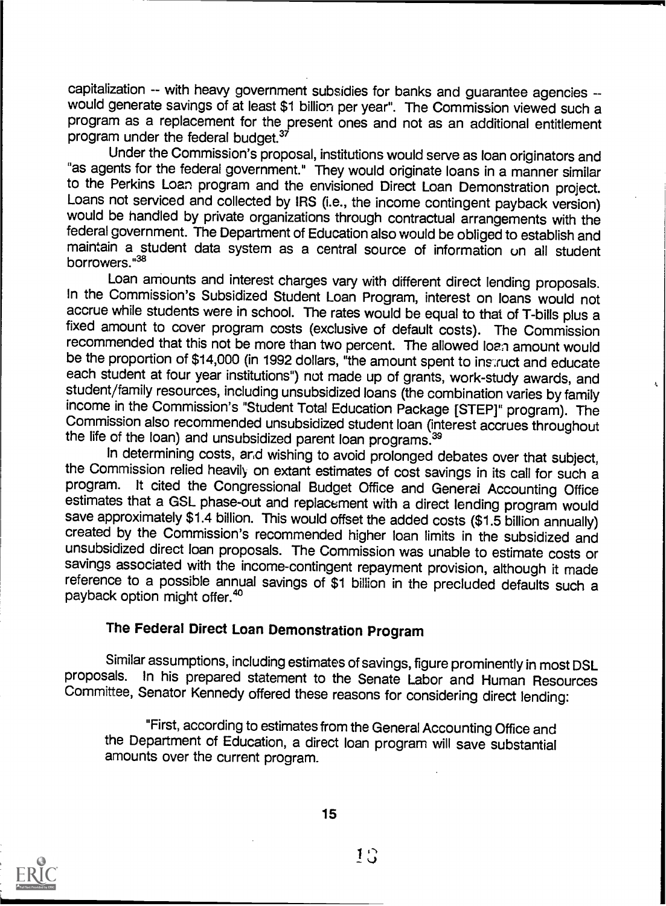capitalization -- with heavy government subsidies for banks and guarantee agencies -- would generate savings of at least \$1 billion per year". The Commission viewed such a program as a replacement for the present ones and not as an additional entitlement program under the federal budget.<sup>37</sup>

Under the Commission's proposal, institutions would serve as loan originators and "as agents for the federal government." They would originate loans in a manner similar to the Perkins Loan program and the envisioned Direct Loan Demonstration project.<br>Loans not serviced and collected by IRS (i.e., the income contingent payback version) would be handled by private organizations through contractual arrangements with the federal government. The Department of Education also would be obliged to establish and maintain a student data system as a central source of information on all student borrowers."38

Loan amounts and interest charges vary with different direct lending proposals. In the Commission's Subsidized Student Loan Program, interest on loans would not accrue while students were in school. The rates would be equal to that of T-bills plus a fixed amount to cover program costs (exclusive of default costs). The Commission recommended that this not be more than two percent. The allowed loan amount would be the proportion of \$14,000 (in 1992 dollars, "the amount spent to instruct and educate each student at four year institutions") not made up of grants, work-study awards, and student/family resources, including unsubsidized loans (the combination varies by family income in the Commission's "Student Total Education Package [STEP]" program). The Commission also recommended unsubsidized student loan (interest accrues throughout the life of the loan) and unsubsidized parent loan programs.<sup>39</sup>

In determining costs, and wishing to avoid prolonged debates over that subject, the Commission relied heavily on extant estimates of cost savings in its call for such a program. It cited the Congressional Budget Office and General Accounting Office estimates that a GSL phase-out and replacement with a direct lending program would<br>save approximately \$1.4 billion. This would offset the added costs (\$1.5 billion annually) created by the Commission's recommended higher loan limits in the subsidized and unsubsidized direct loan proposals. The Commission was unable to estimate costs or savings associated with the income-contingent repayment provision, although it made reference to a possible annual savings of \$1 billion in the precluded defaults such <sup>a</sup> payback option might offer.<sup>40</sup>

# The Federal Direct Loan Demonstration Program

Similar assumptions, including estimates of savings, figure prominently in most DSL proposals. In his prepared statement to the Senate Labor and Human Resources Committee, Senator Kennedy offered these reasons for considering direct lending:

"First, according to estimates from the General Accounting Office and the Department of Education, a direct loan program will save substantial amounts over the current program.



 $10$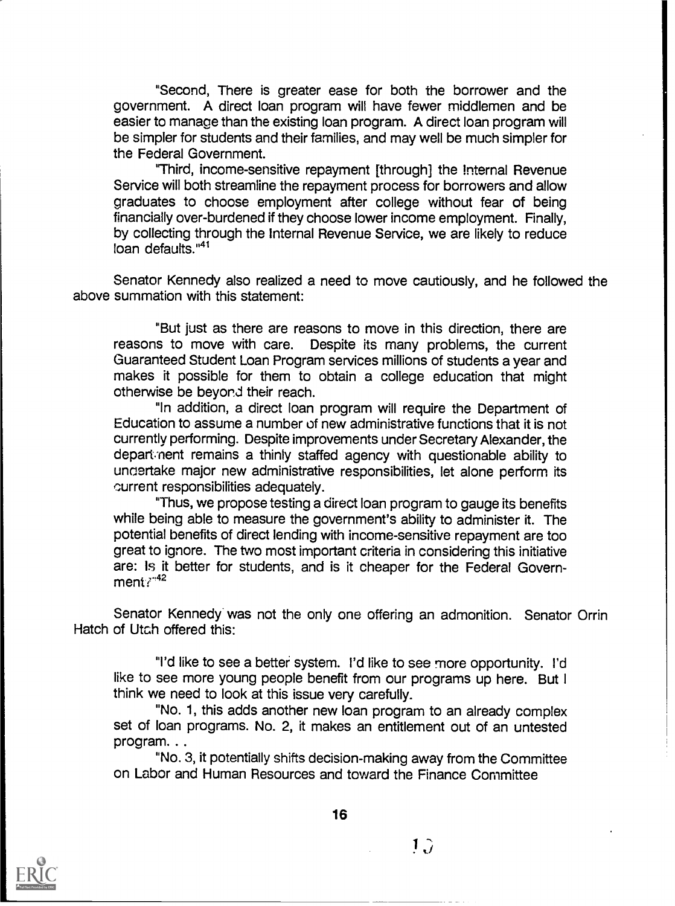"Second, There is greater ease for both the borrower and the government. A direct loan program will have fewer middlemen and be easier to manage than the existing loan program. A direct loan program will be simpler for students and their families, and may well be much simpler for the Federal Government.

'Third, income-sensitive repayment [through} the Internal Revenue Service will both streamline the repayment process for borrowers and allow graduates to choose employment after college without fear of being financially over-burdened if they choose lower income employment. Finally, by collecting through the Internal Revenue Service, we are likely to reduce  $\lim_{n \to \infty}$  defaults."<sup>41</sup>

Senator Kennedy also realized a need to move cautiously, and he followed the above summation with this statement:

"But just as there are reasons to move in this direction, there are reasons to move with care. Despite its many problems, the current Guaranteed Student Loan Program services millions of students a year and makes it possible for them to obtain a college education that might otherwise be beyond their reach.

"In addition, a direct loan program will require the Department of Education to assume a number of new administrative functions that it is not currently performing. Despite improvements under Secretary Alexander, the depart ment remains a thinly staffed agency with questionable ability to uncertake major new administrative responsibilities, let alone perform its current responsibilities adequately.

"Thus, we propose testing a direct loan program to gauge its benefits while being able to measure the government's ability to administer it. The potential benefits of direct lending with income-sensitive repayment are too great to ignore. The two most important criteria in considering this initiative are: Is it better for students, and is it cheaper for the Federal Government:<sup>42</sup>

Senator Kennedy was not the only one offering an admonition. Senator Orrin Hatch of Utah offered this:

"I'd like to see a better system. I'd like to see more opportunity. I'd like to see more young people benefit from our programs up here. But I think we need to look at this issue very carefully.

"No. 1, this adds another new loan program to an already complex set of loan programs. No. 2, it makes an entitlement out of an untested program.. .

"No. 3, it potentially shifts decision-making away from the Committee on Labor and Human Resources and toward the Finance Committee



 $1\hat{J}$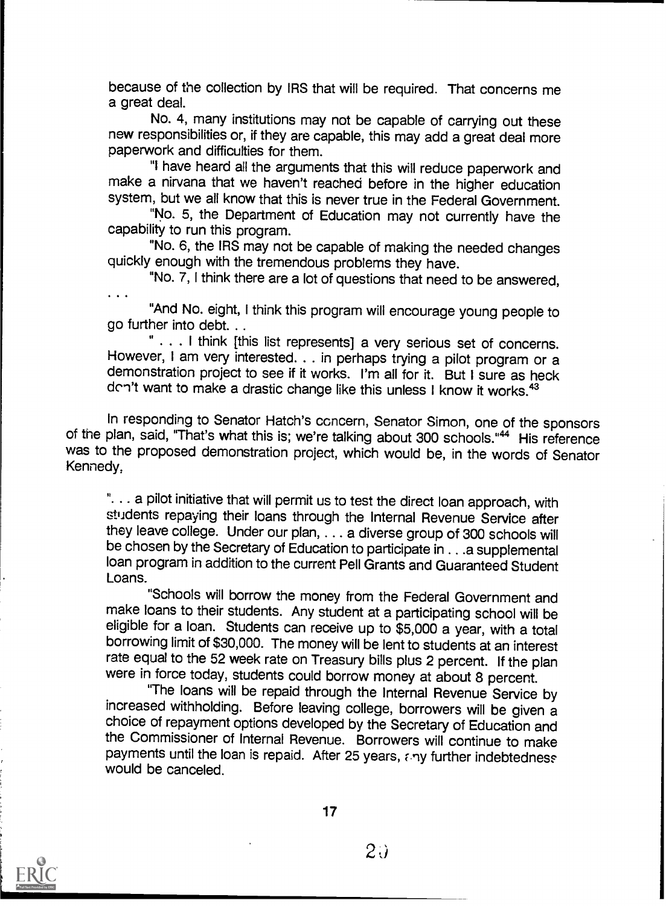because of the collection by IRS that will be required. That concerns me a great deal.

No. 4, many institutions may not be capable of carrying out these new responsibilities or, if they are capable, this may add a great deal more paperwork and difficulties for them.

"I have heard all the arguments that this will reduce paperwork and make a nirvana that we haven't reached before in the higher education system, but we all know that this is never true in the Federal Government.

"No. 5, the Department of Education may not currently have the capability to run this program.

"No. 6, the IRS may not be capable of making the needed changes quickly enough with the tremendous problems they have.

"No. 7, I think there are a lot of questions that need to be answered,

"And No. eight, I think this program will encourage young people to go further into debt...

. . . I think [this list represents] a very serious set of concerns. However, I am very interested. . . in perhaps trying a pilot program or a demonstration project to see if it works. I'm all for it. But I sure as heck don't want to make a drastic change like this unless I know it works.<sup>43</sup>

In responding to Senator Hatch's concern, Senator Simon, one of the sponsors of the plan, said, "That's what this is; we're talking about 300 schools."<sup>44</sup> His reference was to the proposed demonstration project, which would be, in the words of Senator Kennedy,

". . . a pilot initiative that will permit us to test the direct loan approach, with students repaying their loans through the Internal Revenue Service after they leave college. Under our plan, . . . a diverse group of 300 schools will be chosen by the Secretary of Education to participate in . . .a supplemental loan program in addition to the current Pell Grants and Guaranteed Student Loans.

"Schools will borrow the money from the Federal Government and<br>make loans to their students. Any student at a participating school will be eligible for a loan. Students can receive up to \$5,000 a year, with a total borrowing limit of \$30,000. The money will be lent to students at an interest rate equal to the 52 week rate on Treasury bills plus 2 percent. If the plan were in force today, students could borrow money at about 8 percent.

"The loans will be repaid through the Internal Revenue Service by increased withholding. Before leaving college, borrowers will be given a choice of repayment options developed by the Secretary of Education and the Commissioner of Internal Revenue. Borrowers will continue to make payments until the loan is repaid. After 25 years, any further indebtedness would be canceled.



17

 $2\ddot{\omega}$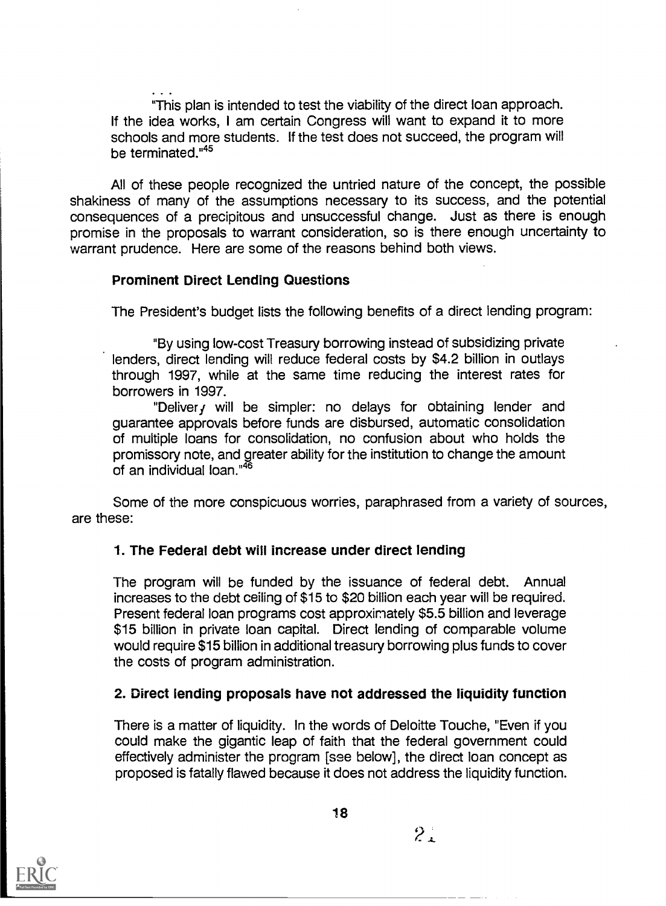"This plan is intended to test the viability of the direct loan approach. If the idea works, I am certain Congress will want to expand it to more schools and more students. If the test does not succeed, the program will be terminated."45

All of these people recognized the untried nature of the concept, the possible shakiness of many of the assumptions necessary to its success, and the potential consequences of a precipitous and unsuccessful change. Just as there is enough promise in the proposals to warrant consideration, so is there enough uncertainty to warrant prudence. Here are some of the reasons behind both views.

# Prominent Direct Lending Questions

The President's budget lists the following benefits of a direct lending program:

"By using low-cost Treasury borrowing instead of subsidizing private lenders, direct lending will reduce federal costs by \$4.2 billion in outlays through 1997, while at the same time reducing the interest rates for borrowers in 1997.

"Delivery will be simpler: no delays for obtaining lender and guarantee approvals before funds are disbursed, automatic consolidation of multiple loans for consolidation, no confusion about who holds the promissory note, and greater ability for the institution to change the amount of an individual loan."<sup>46</sup>

Some of the more conspicuous worries, paraphrased from a variety of sources, are these:

# 1. The Federal debt will increase under direct lending

The program will be funded by the issuance of federal debt. Annual increases to the debt ceiling of \$15 to \$20 billion each year will be required. Present federal loan programs cost approximately \$5.5 billion and leverage \$15 billion in private loan capital. Direct lending of comparable volume would require \$15 billion in additional treasury borrowing plus funds to cover the costs of program administration.

# 2. Direct lending proposals have not addressed the liquidity function

There is a matter of liquidity. In the words of Deloitte Touche, "Even if you could make the gigantic leap of faith that the federal government could effectively administer the program [see below], the direct loan concept as proposed is fatally flawed because it does not address the liquidity function.



 $2^{+}$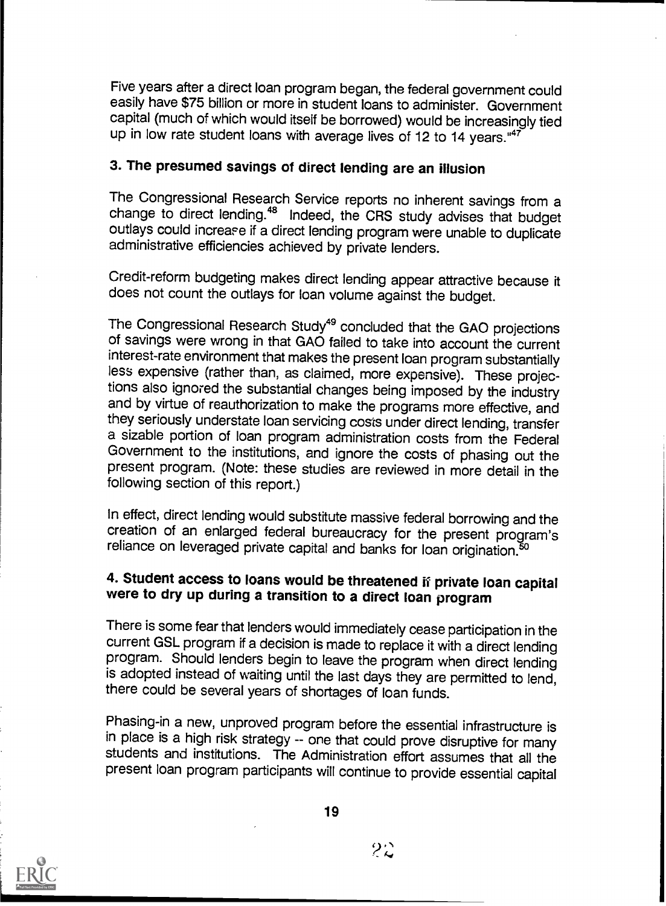Five years after a direct loan program began, the federal government could easily have \$75 billion or more in student loans to administer. Government capital (much of which would itself be borrowed) would be increasingly tied up in low rate student loans with average lives of 12 to 14 years." $47$ 

# 3. The presumed savings of direct lending are an illusion

The Congressional Research Service reports no inherent savings from a change to direct lending.<sup>48</sup> Indeed, the CRS study advises that budget outlays could increase if a direct lending program were unable to duplicate administrative efficiencies achieved by private lenders.

Credit-reform budgeting makes direct lending appear attractive because it does not count the outlays for loan volume against the budget.

The Congressional Research Study<sup>49</sup> concluded that the GAO projections of savings were wrong in that GAO failed to take into account the current interest-rate environment that makes the present loan program substantially less expensive (rather than, as claimed, more expensive). These projections also ignored the substantial changes being imposed by the industry and by virtue of reauthorization to make the programs more effective, and they seriously understate loan servicing costs under direct lending, transfer a sizable portion of loan program administration costs from the Federal Government to the institutions, and ignore the costs of phasing out the present program. (Note: these studies are reviewed in more detail in the following section of this report.)

In effect, direct lending would substitute massive federal borrowing and the creation of an enlarged federal bureaucracy for the present program's reliance on leveraged private capital and banks for loan origination.<sup>50</sup>

# 4. Student access to loans would be threatened if private loan capital were to dry up during a transition to a direct loan program

There is some fear that lenders would immediately cease participation in the current GSL program if a decision is made to replace it with a direct lending program. Should lenders begin to leave the program when direct lending is adopted instead of waiting until the last days they are permitted to lend, there could be several years of shortages of loan funds.

Phasing-in a new, unproved program before the essential infrastructure is students and institutions. The Administration effort assumes that all the present loan program participants will continue to provide essential capital



 $2\mathcal{Z}$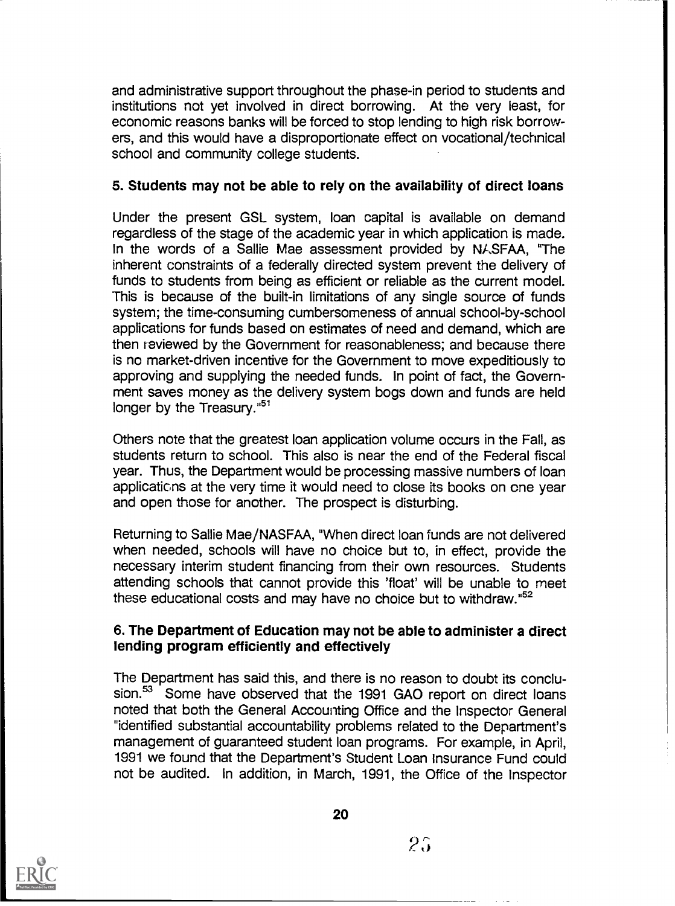and administrative support throughout the phase-in period to students and institutions not yet involved in direct borrowing. At the very least, for economic reasons banks will be forced to stop lending to high risk borrowers, and this would have a disproportionate effect on vocational/technical school and community college students.

# 5. Students may not be able to rely on the availability of direct loans

Under the present GSL system, loan capital is available on demand regardless of the stage of the academic year in which application is made. In the words of a Sallie Mae assessment provided by NASFAA, "The inherent constraints of a federally directed system prevent the delivery of funds to students from being as efficient or reliable as the current model. This is because of the built-in limitations of any single source of funds system; the time-consuming cumbersomeness of annual school-by-school applications for funds based on estimates of need and demand, which are then reviewed by the Government for reasonableness; and because there is no market-driven incentive for the Government to move expeditiously to approving and supplying the needed funds. In point of fact, the Government saves money as the delivery system bogs down and funds are held longer by the Treasury."<sup>51</sup>

Others note that the greatest loan application volume occurs in the Fall, as students return to school. This also is near the end of the Federal fiscal year. Thus, the Department would be processing massive numbers of loan applications at the very time it would need to close its books on one year and open those for another. The prospect is disturbing.

Returning to Sallie Mae/NASFAA, "When direct loan funds are not delivered when needed, schools will have no choice but to, in effect, provide the necessary interim student financing from their own resources. Students attending schools that cannot provide this 'float' will be unable to meet these educational costs and may have no choice but to withdraw."52

# 6. The Department of Education may not be able to administer a direct lending program efficiently and effectively

The Department has said this, and there is no reason to doubt its conclusion.<sup>53</sup> Some have observed that the 1991 GAO report on direct loans noted that both the General Accounting Office and the Inspector General "identified substantial accountability problems related to the Department's management of guaranteed student loan programs. For example, in April, 1991 we found that the Department's Student Loan Insurance Fund could not be audited. In addition, in March, 1991, the Office of the Inspector



20

 $2\hat{p}$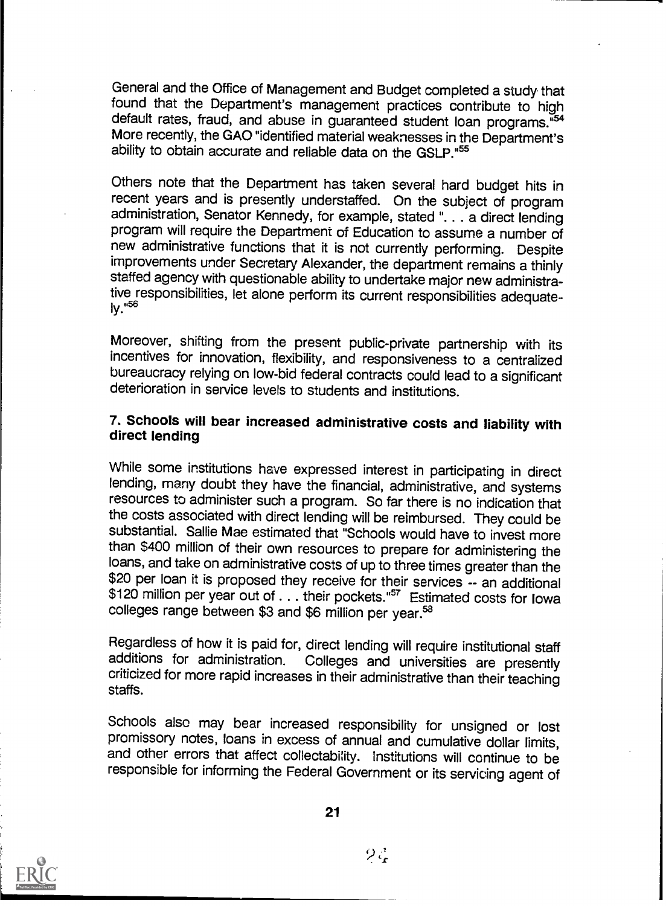General and the Office of Management and Budget completed a study that found that the Department's management practices contribute to high default rates, fraud, and abuse in guaranteed student loan programs."54 More recently, the GAO "identified material weaknesses in the Department's ability to obtain accurate and reliable data on the GSLP."55

Others note that the Department has taken several hard budget hits in recent years and is presently understaffed. On the subject of program administration, Senator Kennedy, for example, stated ". . . a direct lending program will require the Department of Education to assume a number of new administrative functions that it is not currently performing. Despite improvements under Secretary Alexander, the department remains a thinly staffed agency with questionable ability to undertake major new administrative responsibilities, let alone perform its current responsibilities adequate-<br> $iv.$ <sup>56</sup>

Moreover, shifting from the present public-private partnership with its incentives for innovation, flexibility, and responsiveness to a centralized bureaucracy relying on low-bid federal contracts could lead to a significant deterioration in service levels to students and institutions.

# 7. Schools will bear increased administrative costs and liability with direct lending

While some institutions have expressed interest in participating in direct lending, many doubt they have the financial, administrative, and systems resources to administer such a program. So far there is no indication that the costs associated with direct lending will be reimbursed. They could be substantial. Sallie Mae estimated that "Schools would have to invest more than \$400 million of their own resources to prepare for administering the loans, and take on administrative costs of up to three times greater than the \$20 per loan it is proposed they receive for their services -- an additional \$120 million per year out of . . . their pockets."<sup>57</sup> Estimated costs for Iowa colleges range between \$3 and \$6 million per year.<sup>58</sup>

Regardless of how it is paid for, direct lending will require institutional staff<br>additions for administration. Colleges and universities are presently criticized for more rapid increases in their administrative than their teaching staffs.

Schools also may bear increased responsibility for unsigned or lost promissory notes, loans in excess of annual and cumulative dollar limits, and other errors that affect collectability. Institutions will continue to be responsible for informing the Federal Government or its servicing agent of



 $\beta \zeta$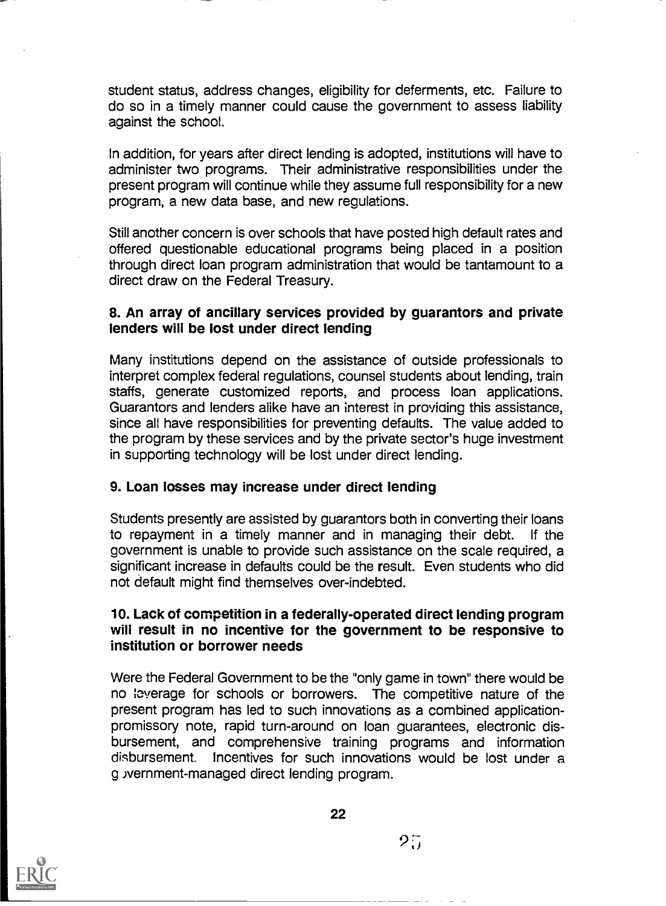student status, address changes, eligibility for deferments, etc. Failure to do so in a timely manner could cause the government to assess liability against the school.

In addition, for years after direct lending is adopted, institutions will have to administer two programs. Their administrative responsibilities under the present program will continue while they assume full responsibility for a new program, a new data base, and new regulations.

Still another concern is over schools that have posted high default rates and offered questionable educational programs being placed in a position through direct loan program administration that would be tantamount to a direct draw on the Federal Treasury.

#### 8. An array of ancillary services provided by guarantors and private lenders will be lost under direct lending

Many institutions depend on the assistance of outside professionals to interpret complex federal regulations, counsel students about lending, train staffs, generate customized reports, and process loan applications. Guarantors and lenders alike have an interest in providing this assistance, since all have responsibilities for preventing defaults. The value added to the program by these services and by the private sector's huge investment in supporting technology will be lost under direct lending.

# 9. Loan losses may increase under direct lending

Students presently are assisted by guarantors both in converting their loans to repayment in a timely manner and in managing their debt. If the government is unable to provide such assistance on the scale required, a significant increase in defaults could be the result. Even students who did not default might find themselves over-indebted.

#### 10. Lack of competition in a federally-operated direct lending program will result in no incentive for the government to be responsive to institution or borrower needs

Were the Federal Government to be the "only game in town" there would be no leverage for schools or borrowers. The competitive nature of the present program has led to such innovations as a combined applicationpromissory note, rapid turn-around on loan guarantees, electronic disbursement, and comprehensive training programs and information disbursement. Incentives for such innovations would be lost under a g ivernment-managed direct lending program.

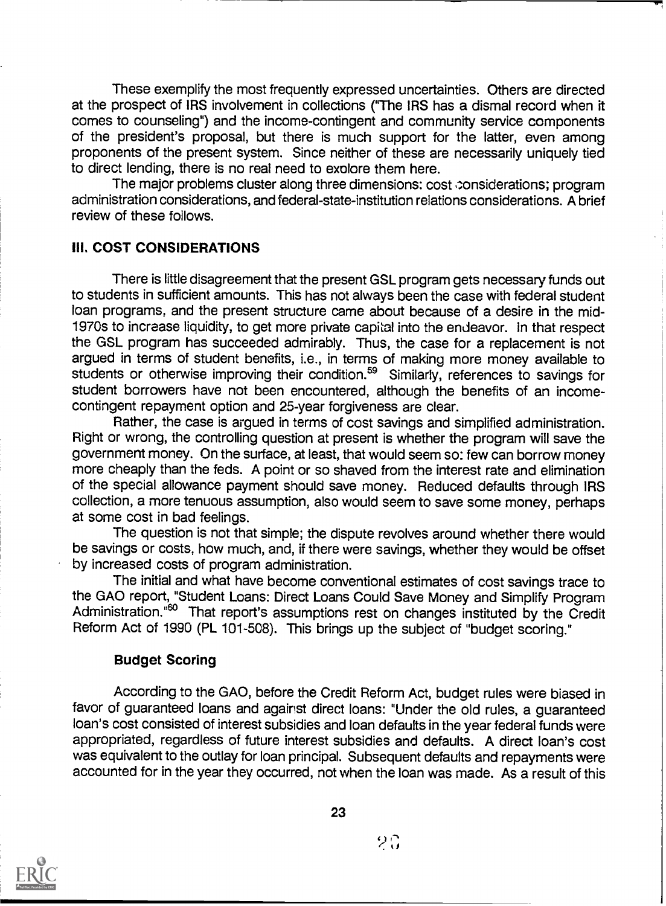These exemplify the most frequently expressed uncertainties. Others are directed at the prospect of IRS involvement in collections ("The IRS has a dismal record when it comes to counseling") and the income-contingent and community service components of the president's proposal, but there is much support for the latter, even among proponents of the present system. Since neither of these are necessarily uniquely tied to direct lending, there is no real need to exolore them here.

The major problems cluster along three dimensions: cost considerations; program administration considerations, and federal-state-institution relations considerations. A brief review of these follows.

# III. COST CONSIDERATIONS

There is little disagreement that the present GSL program gets necessary funds out to students in sufficient amounts. This has not always been the case with federal student loan programs, and the present structure came about because of a desire in the mid-1970s to increase liquidity, to get more private capital into the endeavor. in that respect the GSL program has succeeded admirably. Thus, the case for a replacement is not argued in terms of student benefits, i.e., in terms of making more money available to students or otherwise improving their condition.<sup>59</sup> Similarly, references to savings for student borrowers have not been encountered, although the benefits of an incomecontingent repayment option and 25-year forgiveness are clear.

Rather, the case is argued in terms of cost savings and simplified administration. Right or wrong, the controlling question at present is whether the program will save the government money. On the surface, at least, that would seem so: few can borrow money more cheaply than the feds. A point or so shaved from the interest rate and elimination of the special allowance payment should save money. Reduced defaults through IRS collection, a more tenuous assumption, also would seem to save some money, perhaps at some cost in bad feelings.

The question is not that simple; the dispute revolves around whether there would be savings or costs, how much, and, if there were savings, whether they would be offset by increased costs of program administration.

The initial and what have become conventional estimates of cost savings trace to the GAO report, "Student Loans: Direct Loans Could Save Money and Simplify Program Administration."<sup>60</sup> That report's assumptions rest on changes instituted by the Credit Reform Act of 1990 (PL 101-508). This brings up the subject of "budget scoring."

#### Budget Scoring

According to the GAO, before the Credit Reform Act, budget rules were biased in favor of guaranteed loans and against direct loans: "Under the old rules, a guaranteed loan's cost consisted of interest subsidies and loan defaults in the year federal funds were appropriated, regardless of future interest subsidies and defaults. A direct loan's cost was equivalent to the outlay for loan principal. Subsequent defaults and repayments were accounted for in the year they occurred, not when the loan was made. As a result of this



23

 $2\mathbb{G}$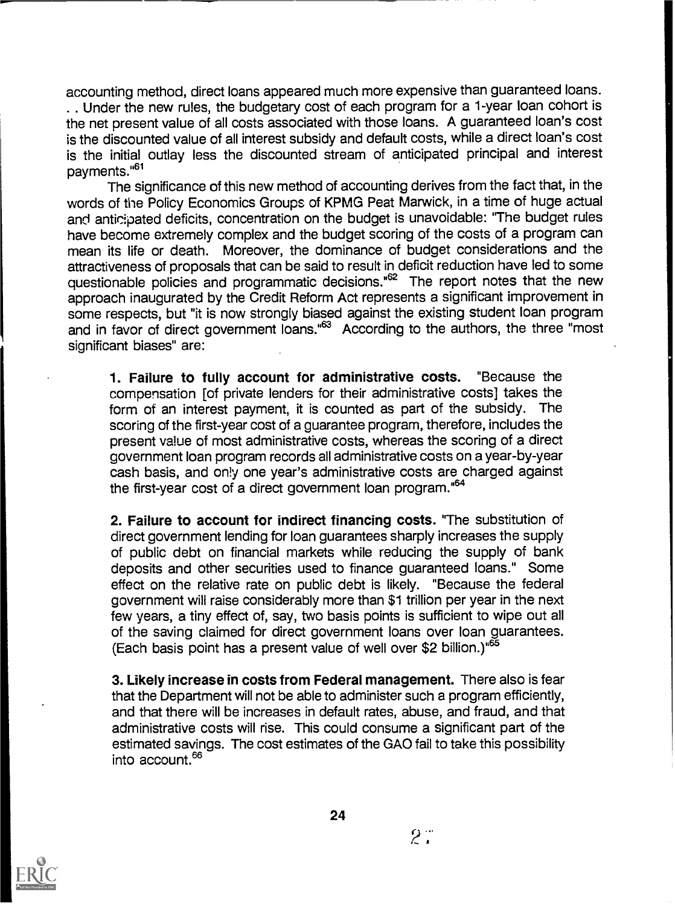accounting method, direct loans appeared much more expensive than guaranteed loans. . . Under the new rules, the budgetary cost of each program for a 1-year loan cohort is the net present value of all costs associated with those loans. A guaranteed loan's cost is the discounted value of all interest subsidy and default costs, while a direct loan's cost is the initial outlay less the discounted stream of anticipated principal and interest payments."61

The significance of this new method of accounting derives from the fact that, in the words of the Policy Economics Groups of KPMG Peat Marwick, in a time of huge actual and anticipated deficits, concentration on the budget is unavoidable: "The budget rules have become extremely complex and the budget scoring of the costs of a program can mean its life or death. Moreover, the dominance of budget considerations and the attractiveness of proposals that can be said to result in deficit reduction have led to some questionable policies and programmatic decisions."<sup>62</sup> The report notes that the new approach inaugurated by the Credit Reform Act represents a significant improvement in some respects, but "it is now strongly biased against the existing student loan program and in favor of direct government loans."63 According to the authors, the three "most significant biases" are:

1. Failure to fully account for administrative costs. "Because the compensation [of private lenders for their administrative costs] takes the form of an interest payment, it is counted as part of the subsidy. The scoring of the first-year cost of a guarantee program, therefore, includes the present value of most administrative costs, whereas the scoring of a direct government loan program records all administrative costs on a year-by-year cash basis, and only one year's administrative costs are charged against the first-year cost of a direct government loan program."64

2. Failure to account for indirect financing costs. 'The substitution of direct government lending for loan guarantees sharply increases the supply of public debt on financial markets while reducing the supply of bank deposits and other securities used to finance guaranteed loans." Some effect on the relative rate on public debt is likely. "Because the federal government will raise considerably more than \$1 trillion per year in the next few years, a tiny effect of, say, two basis points is sufficient to wipe out all of the saving claimed for direct government loans over loan guarantees. (Each basis point has a present value of well over \$2 billion.)"65

3. Likely increase in costs from Federal management. There also is fear that the Department will not be able to administer such a program efficiently, and that there will be increases in default rates, abuse, and fraud, and that administrative costs will rise. This could consume a significant part of the estimated savings. The cost estimates of the GAO fail to take this possibility into account.66

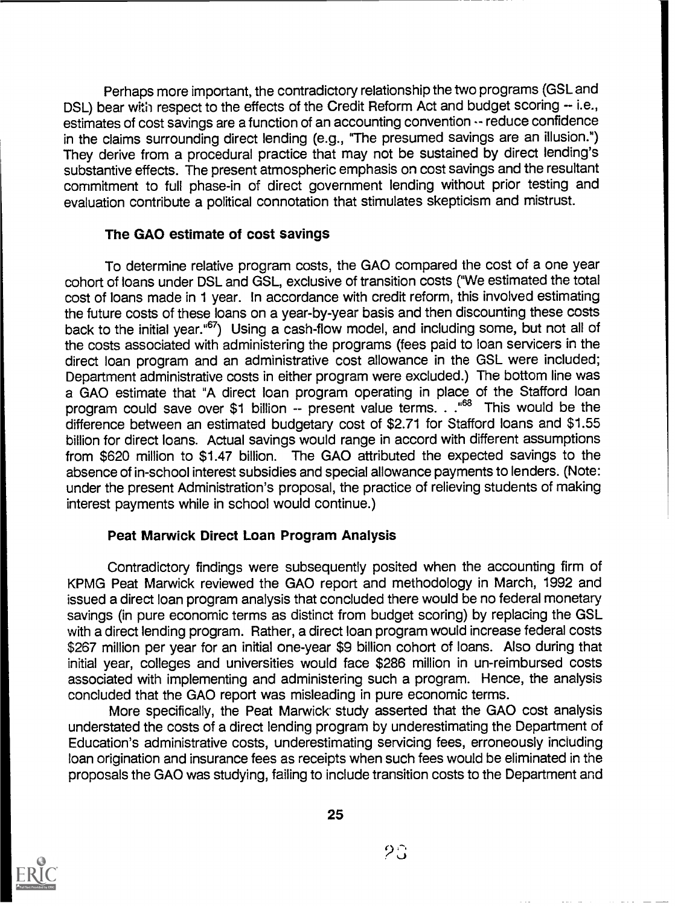Perhaps more important, the contradictory relationship the two programs (GSL and DSL) bear with respect to the effects of the Credit Reform Act and budget scoring -- i.e., estimates of cost savings are a function of an accounting convention -- reduce confidence in the claims surrounding direct lending (e.g., "The presumed savings are an illusion.") They derive from a procedural practice that may not be sustained by direct lending's substantive effects. The present atmospheric emphasis on cost savings and the resultant commitment to full phase-in of direct government lending without prior testing and evaluation contribute a political connotation that stimulates skepticism and mistrust.

# The GAO estimate of cost savings

To determine relative program costs, the GAO compared the cost of a one year cohort of loans under DSL and GSL, exclusive of transition costs ("We estimated the total cost of loans made in 1 year. In accordance with credit reform, this involved estimating the future costs of these loans on a year-by-year basis and then discounting these costs back to the initial year."<sup>67</sup>) Using a cash-flow model, and including some, but not all of the costs associated with administering the programs (fees paid to loan servicers in the direct loan program and an administrative cost allowance in the GSL were included; Department administrative costs in either program were excluded.) The bottom line was a GAO estimate that "A direct loan program operating in place of the Stafford loan program could save over \$1 billion -- present value terms. . ."68 This would be the difference between an estimated budgetary cost of \$2.71 for Stafford loans and \$1.55 billion for direct loans. Actual savings would range in accord with different assumptions from \$620 million to \$1.47 billion. The GAO attributed the expected savings to the absence of in-school interest subsidies and special allowance payments to lenders. (Note: under the present Administration's proposal, the practice of relieving students of making interest payments while in school would continue.)

# Peat Marwick Direct Loan Program Analysis

Contradictory findings were subsequently posited when the accounting firm of KPMG Peat Marwick reviewed the GAO report and methodology in March, 1992 and issued a direct loan program analysis that concluded there would be no federal monetary savings (in pure economic terms as distinct from budget scoring) by replacing the GSL with a direct lending program. Rather, a direct loan program would increase federal costs \$267 million per year for an initial one-year \$9 billion cohort of loans. Also during that initial year, colleges and universities would face \$286 million in un-reimbursed costs associated with implementing and administering such a program. Hence, the analysis concluded that the GAO report was misleading in pure economic terms.

More specifically, the Peat Marwick study asserted that the GAO cost analysis understated the costs of a direct lending program by underestimating the Department of Education's administrative costs, underestimating servicing fees, erroneously including loan origination and insurance fees as receipts when such fees would be eliminated in the proposals the GAO was studying, failing to include transition costs to the Department and

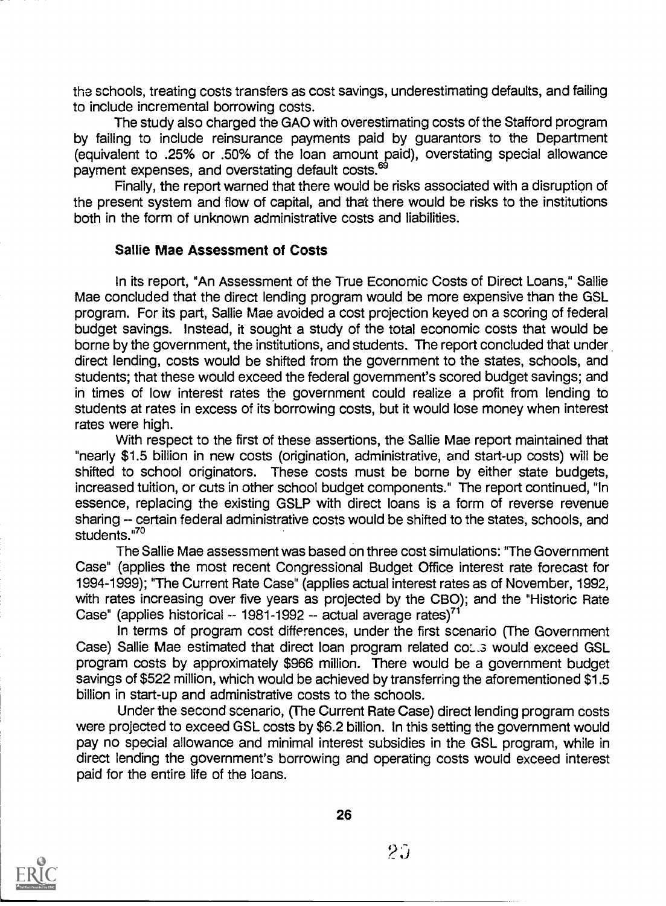the schools, treating costs transfers as cost savings, underestimating defaults, and failing to include incremental borrowing costs.

The study also charged the GAO with overestimating costs of the Stafford program by failing to include reinsurance payments paid by guarantors to the Department (equivalent to .25% or .50% of the loan amount paid), overstating special allowance payment expenses, and overstating default costs.<sup>69</sup>

Finally, the report warned that there would be risks associated with a disruption of the present system and flow of capital, and that there would be risks to the institutions both in the form of unknown administrative costs and liabilities.

#### Sallie Mae Assessment of Costs

In its report, "An Assessment of the True Economic Costs of Direct Loans," Sallie Mae concluded that the direct lending program would be more expensive than the GSL program. For its part, Sallie Mae avoided a cost projection keyed on a scoring of federal budget savings. Instead, it sought a study of the total economic costs that would be borne by the government, the institutions, and students. The report concluded that under direct lending, costs would be shifted from the government to the states, schools, and students; that these would exceed the federal government's scored budget savings; and in times of low interest rates the government could realize a profit from lending to students at rates in excess of its borrowing costs, but it would lose money when interest rates were high.

With respect to the first of these assertions, the Sallie Mae report maintained that "nearly \$1.5 billion in new costs (origination, administrative, and start-up costs) will be shifted to school originators. These costs must be borne by either state budgets, increased tuition, or cuts in other school budget components." The report continued, "In essence, replacing the existing GSLP with direct loans is a form of reverse revenue sharing -- certain federal administrative costs would be shifted to the states, schools, and students. $570$ 

The Sallie Mae assessment was based on three cost simulations: 'The Government Case" (applies the most recent Congressional Budget Office interest rate forecast for 1994-1999); "The Current Rate Case" (applies actual interest rates as of November, 1992, with rates increasing over five years as projected by the CBO); and the "Historic Rate Case" (applies historical -- 1981-1992 -- actual average rates)<sup>71</sup>

In terms of program cost differences, under the first scenario (The Government Case) Sallie Mae estimated that direct loan program related coses would exceed GSL program costs by approximately \$966 million. There would be a government budget savings of \$522 million, which would be achieved by transferring the aforementioned \$1.5 billion in start-up and administrative costs to the schools.

Under the second scenario, (The Current Rate Case) direct lending program costs were projected to exceed GSL costs by \$6.2 billion. In this setting the government would pay no special allowance and minimal interest subsidies in the GSL program, while in direct lending the government's borrowing and operating costs would exceed interest paid for the entire life of the loans.



26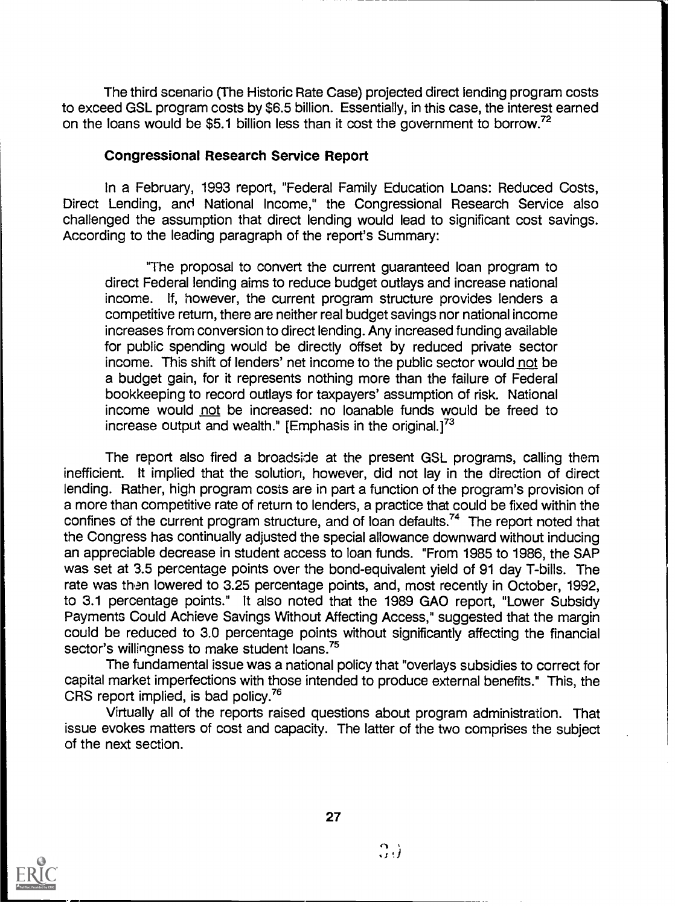The third scenario (The Historic Rate Case) projected direct lending program costs to exceed GSL program costs by \$6.5 billion. Essentially, in this case, the interest earned on the loans would be \$5.1 billion less than it cost the government to borrow.<sup>72</sup>

#### Congressional Research Service Report

In a February, 1993 report, "Federal Family Education Loans: Reduced Costs, Direct Lending, and National Income," the Congressional Research Service also challenged the assumption that direct lending would lead to significant cost savings. According to the leading paragraph of the report's Summary:

"The proposal to convert the current guaranteed loan program to direct Federal lending aims to reduce budget outlays and increase national income. If, however, the current program structure provides lenders a competitive return, there are neither real budget savings nor national income increases from conversion to direct lending. Any increased funding available for public spending would be directly offset by reduced private sector income. This shift of lenders' net income to the public sector would not be a budget gain, for it represents nothing more than the failure of Federal bookkeeping to record outlays for taxpayers' assumption of risk. National income would not be increased: no loanable funds would be freed to increase output and wealth." [Emphasis in the original.]<sup>73</sup>

The report also fired a broadside at the present GSL programs, calling them inefficient. It implied that the solution, however, did not lay in the direction of direct lending. Rather, high program costs are in part a function of the program's provision of a more than competitive rate of return to lenders, a practice that could be fixed within the confines of the current program structure, and of loan defaults.<sup>74</sup> The report noted that the Congress has continually adjusted the special allowance downward without inducing an appreciable decrease in student access to loan funds. "From 1985 to 1986, the SAP was set at 3.5 percentage points over the bond-equivalent yield of 91 day T-bills. The rate was than lowered to 3.25 percentage points, and, most recently in October, 1992, to 3.1 percentage points." It also noted that the 1989 GAO report, "Lower Subsidy Payments Could Achieve Savings Without Affecting Access," suggested that the margin could be reduced to 3.0 percentage points without significantly affecting the financial sector's willingness to make student loans.<sup>75</sup>

The fundamental issue was a national policy that "overlays subsidies to correct for capital market imperfections with those intended to produce external benefits." This, the CRS report implied, is bad policy.76

Virtually all of the reports raised questions about program administration. That issue evokes matters of cost and capacity. The latter of the two comprises the subject of the next section.



27

 $\Omega_{\rm d}$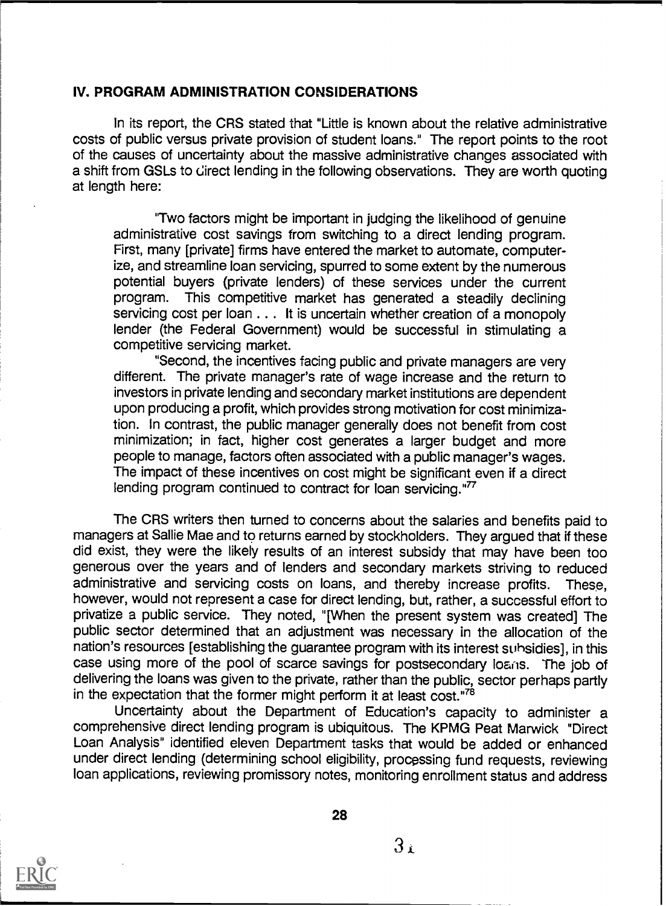#### IV. PROGRAM ADMINISTRATION CONSIDERATIONS

In its report, the CRS stated that "Little is known about the relative administrative costs of public versus private provision of student loans." The report points to the root of the causes of uncertainty about the massive administrative changes associated with a shift from GSLs to direct lending in the following observations. They are worth quoting at length here:

"Two factors might be important in judging the likelihood of genuine administrative cost savings from switching to a direct lending program. First, many [private] firms have entered the market to automate, computerize, and streamline loan servicing, spurred to some extent by the numerous potential buyers (private lenders) of these services under the current program. This competitive market has generated a steadily declining servicing cost per loan . . . It is uncertain whether creation of a monopoly lender (the Federal Government) would be successful in stimulating a competitive servicing market.

"Second, the incentives facing public and private managers are very different. The private manager's rate of wage increase and the return to investors in private lending and secondary market institutions are dependent upon producing a profit, which provides strong motivation for cost minimization. In contrast, the public manager generally does not benefit from cost minimization; in fact, higher cost generates a larger budget and more people to manage, factors often associated with a public manager's wages. The impact of these incentives on cost might be significant even if a direct lending program continued to contract for loan servicing."<sup>77</sup>

The CRS writers then turned to concerns about the salaries and benefits paid to managers at Sallie Mae and to returns earned by stockholders. They argued that if these did exist, they were the likely results of an interest subsidy that may have been too generous over the years and of lenders and secondary markets striving to reduced administrative and servicing costs on loans, and thereby increase profits. These, however, would not represent a case for direct lending, but, rather, a successful effort to privatize a public service. They noted, "[When the present system was created] The public sector determined that an adjustment was necessary in the allocation of the nation's resources [establishing the guarantee program with its interest suhsidies], in this case using more of the pool of scarce savings for postsecondary loans. The job of delivering the loans was given to the private, rather than the public, sector perhaps partly in the expectation that the former might perform it at least cost."78

Uncertainty about the Department of Education's capacity to administer a comprehensive direct lending program is ubiquitous. The KPMG Peat Marwick "Direct Loan Analysis" identified eleven Department tasks that would be added or enhanced under direct lending (determining school eligibility, processing fund requests, reviewing loan applications, reviewing promissory notes, monitoring enrollment status and address



 $3<sub>i</sub>$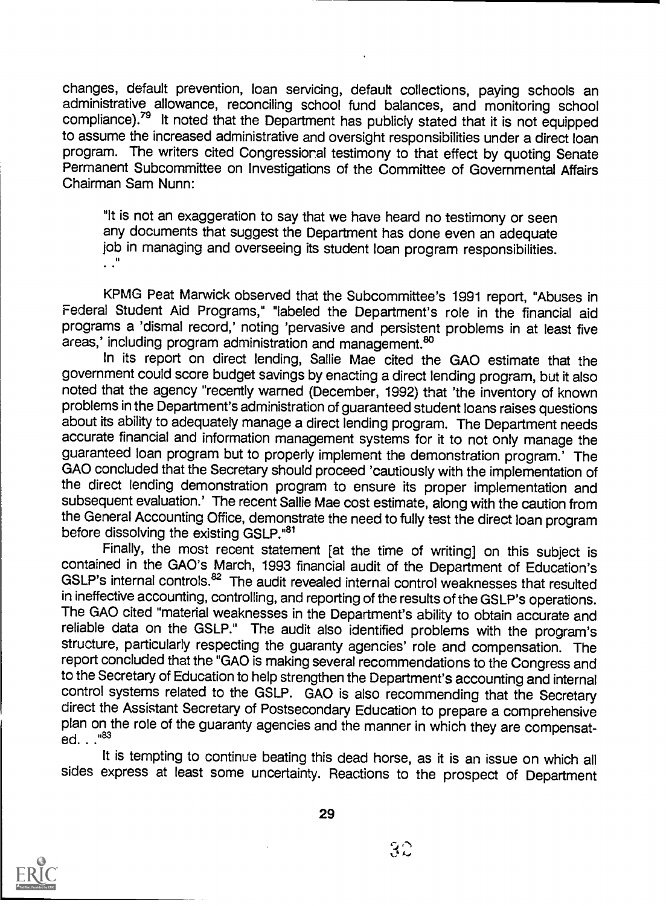changes, default prevention, loan servicing, default collections, paying schools an administrative allowance, reconciling school fund balances, and monitoring school compliance).<sup>79</sup> It noted that the Department has publicly stated that it is not equipped to assume the increased administrative and oversight responsibilities under a direct loan program. The writers cited Congressioral testimony to that effect by quoting Senate Permanent Subcommittee on Investigations of the Committee of Governmental Affairs Chairman Sam Nunn:

"It is not an exaggeration to say that we have heard no testimony or seen any documents that suggest the Department has done even an adequate job in managing and overseeing its student loan program responsibilities.<br>.."

KPMG Peat Marwick observed that the Subcommittee's 1991 report, "Abuses in Federal Student Aid Programs," "labeled the Department's role in the financial aid programs a 'dismal record,' noting 'pervasive and persistent problems in at least five areas,' including program administration and management.<sup>80</sup>

In its report on direct lending, Sallie Mae cited the GAO estimate that the government could score budget savings by enacting a direct lending program, but it also noted that the agency "recently warned (December, 1992) that 'the inventory of known problems in the Department's administration of guaranteed student loans raises questions about its ability to adequately manage a direct lending program. The Department needs accurate financial and information management systems for it to not only manage the guaranteed loan program but to properly implement the demonstration program.' The GAO concluded that the Secretary should proceed 'cautiously with the implementation of the direct lending demonstration program to ensure its proper implementation and subsequent evaluation.' The recent Sallie Mae cost estimate, along with the caution from the General Accounting Office, demonstrate the need to fully test the direct loan program before dissolving the existing GSLP."81

Finally, the most recent statement [at the time of writing] on this subject is contained in the GAO's March, 1993 financial audit of the Department of Education's GSLP's internal controls.<sup>82</sup> The audit revealed internal control weaknesses that resulted in ineffective accounting, controlling, and reporting of the results of the GSLP's operations. The GAO cited "material weaknesses in the Department's ability to obtain accurate and reliable data on the GSLP." The audit also identified problems with the program's structure, particularly respecting the guaranty agencies' role and compensation. The report concluded that the "GAO is making several recommendations to the Congress and to the Secretary of Education to help strengthen the Department's accounting and internal control systems related to the GSLP. GAO is also recommending that the Secretary direct the Assistant Secretary of Postsecondary Education to prepare a comprehensive plan on the role of the guaranty agencies and the manner in which they are compensated. . . "83

It is tempting to continue beating this dead horse, as it is an issue on which all sides express at least some uncertainty. Reactions to the prospect of Department



 $3\mathbb{C}$  . . .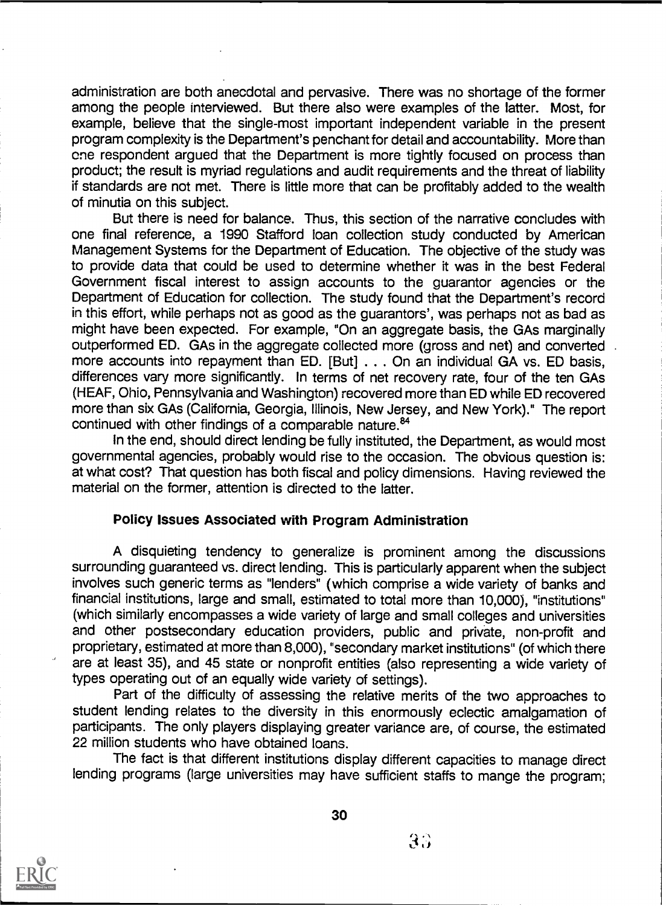administration are both anecdotal and pervasive. There was no shortage of the former among the people interviewed. But there also were examples of the latter. Most, for example, believe that the single-most important independent variable in the present program complexity is the Department's penchant for detail and accountability. More than ene respondent argued that the Department is more tightly focused on process than product; the result is myriad regulations and audit requirements and the threat of liability if standards are not met. There is little more that can be profitably added to the wealth of minutia on this subject.

But there is need for balance. Thus, this section of the narrative concludes with one final reference, a 1990 Stafford loan collection study conducted by American Management Systems for the Department of Education. The objective of the study was to provide data that could be used to determine whether it was in the best Federal Government fiscal interest to assign accounts to the guarantor agencies or the Department of Education for collection. The study found that the Department's record in this effort, while perhaps not as good as the guarantors', was perhaps not as bad as might have been expected. For example, "On an aggregate basis, the GAs marginally outperformed ED. GAs in the aggregate collected more (gross and net) and converted more accounts into repayment than ED. [But] . . . On an individual GA vs. ED basis, differences vary more significantly. In terms of net recovery rate, four of the ten GAs (HEAF, Ohio, Pennsylvania and Washington) recovered more than ED while ED recovered more than six GAs (California, Georgia, Illinois, New Jersey, and New York)." The report continued with other findings of a comparable nature.<sup>84</sup>

In the end, should direct lending be fully instituted, the Department, as would most governmental agencies, probably would rise to the occasion. The obvious question is: at what cost? That question has both fiscal and policy dimensions. Having reviewed the material on the former, attention is directed to the latter.

#### Policy Issues Associated with Program Administration

A disquieting tendency to generalize is prominent among the discussions surrounding guaranteed vs. direct lending. This is particularly apparent when the subject involves such generic terms as "lenders" (which comprise a wide variety of banks and financial institutions, large and small, estimated to total more than 10,000), "institutions" (which similarly encompasses a wide variety of large and small colleges and universities and other postsecondary education providers, public and private, non-profit and proprietary, estimated at more than 8,000), "secondary market institutions" (of which there are at least 35), and 45 state or nonprofit entities (also representing a wide variety of types operating out of an equally wide variety of settings).

Part of the difficulty of assessing the relative merits of the two approaches to student lending relates to the diversity in this enormously eclectic amalgamation of participants. The only players displaying greater variance are, of course, the estimated 22 million students who have obtained loans.

The fact is that different institutions display different capacities to manage direct lending programs (large universities may have sufficient staffs to mange the program;



30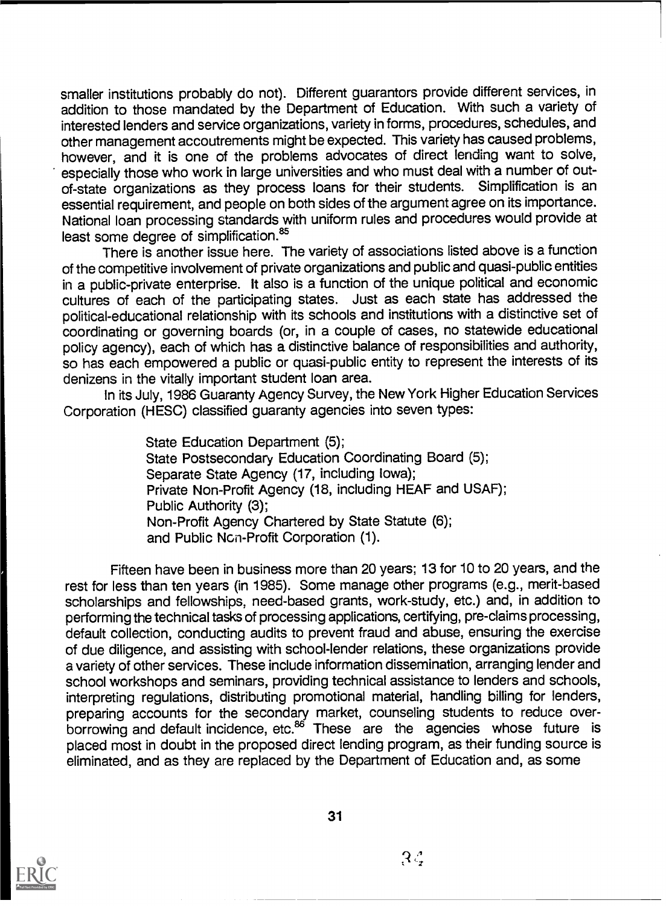smaller institutions probably do not). Different guarantors provide different services, in addition to those mandated by the Department of Education. With such a variety of interested lenders and service organizations, variety in forms, procedures, schedules, and other management accoutrements might be expected. This variety has caused problems, however, and it is one of the problems advocates of direct lending want to solve, especially those who work in large universities and who must deal with a number of outof-state organizations as they process loans for their students. Simplification is an essential requirement, and people on both sides of the argument agree on its importance. National loan processing standards with uniform rules and procedures would provide at least some degree of simplification.<sup>85</sup>

There is another issue here. The variety of associations listed above is a function of the competitive involvement of private organizations and public and quasi-public entities in a public-private enterprise. It also is a function of the unique political and economic cultures of each of the participating states. Just as each state has addressed the political-educational relationship with its schools and institutions with a distinctive set of coordinating or governing boards (or, in a couple of cases, no statewide educational policy agency), each of which has a distinctive balance of responsibilities and authority, so has each empowered a public or quasi-public entity to represent the interests of its denizens in the vitally important student loan area.

In its July, 1986 Guaranty Agency Survey, the New York Higher Education Services Corporation (HESC) classified guaranty agencies into seven types:

> State Education Department (5); State Postsecondary Education Coordinating Board (5); Separate State Agency (17, including Iowa); Private Non-Profit Agency (18, including HEAF and USAF); Public Authority (3); Non-Profit Agency Chartered by State Statute (6); and Public Non-Profit Corporation (1).

Fifteen have been in business more than 20 years; 13 for 10 to 20 years, and the rest for less than ten years (in 1985). Some manage other programs (e.g., merit-based scholarships and fellowships, need-based grants, work-study, etc.) and, in addition to performing the technical tasks of processing applications, certifying, pre-claims processing, default collection, conducting audits to prevent fraud and abuse, ensuring the exercise of due diligence, and assisting with school-lender relations, these organizations provide a variety of other services. These include information dissemination, arranging lender and school workshops and seminars, providing technical assistance to lenders and schools, interpreting regulations, distributing promotional material, handling billing for lenders, preparing accounts for the secondary market, counseling students to reduce overborrowing and default incidence, etc. $8^6$  These are the agencies whose future is placed most in doubt in the proposed direct lending program, as their funding source is eliminated, and as they are replaced by the Department of Education and, as some



 $\mathcal{R}$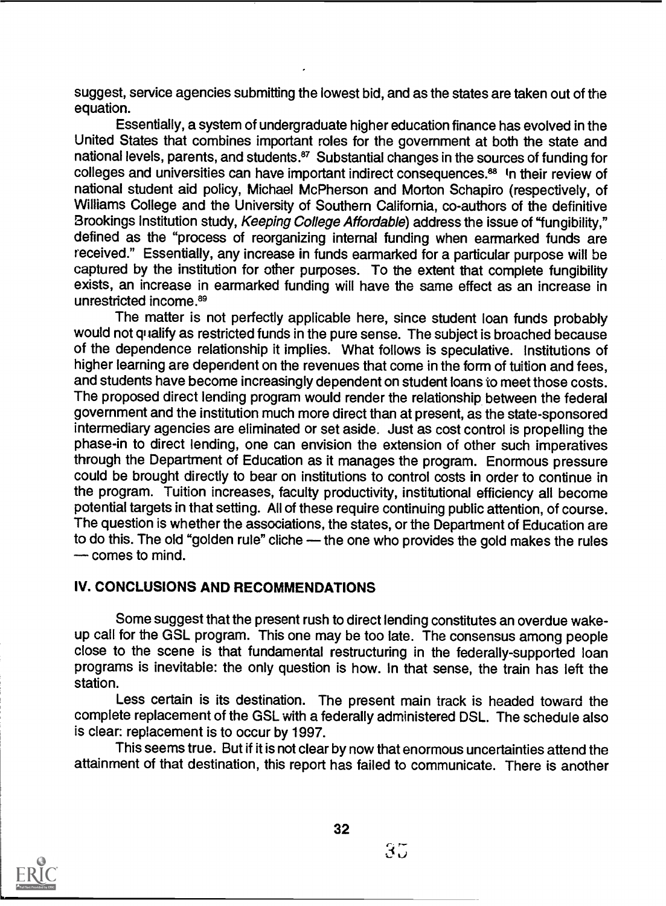suggest, service agencies submitting the lowest bid, and as the states are taken out of the equation.

Essentially, a system of undergraduate higher education finance has evolved in the United States that combines important roles for the government at both the state and national levels, parents, and students.<sup>87</sup> Substantial changes in the sources of funding for colleges and universities can have important indirect consequences.<sup>88</sup> In their review of national student aid policy, Michael McPherson and Morton Schapiro (respectively, of Williams College and the University of Southern California, co-authors of the definitive Brookings Institution study, Keeping College Affordable) address the issue of "fungibility," defined as the "process of reorganizing internal funding when earmarked funds are received." Essentially, any increase in funds earmarked for a particular purpose will be captured by the institution for other purposes. To the extent that complete fungibility exists, an increase in earmarked funding will have the same effect as an increase in unrestricted income.<sup>89</sup>

The matter is not perfectly applicable here, since student loan funds probably would not qualify as restricted funds in the pure sense. The subject is broached because of the dependence relationship it implies. What follows is speculative. Institutions of higher learning are dependent on the revenues that come in the form of tuition and fees, and students have become increasingly dependent on student loans to meet those costs. The proposed direct lending program would render the relationship between the federal government and the institution much more direct than at present, as the state-sponsored intermediary agencies are eliminated or set aside. Just as cost control is propelling the phase-in to direct lending, one can envision the extension of other such imperatives through the Department of Education as it manages the program. Enormous pressure could be brought directly to bear on institutions to control costs in order to continue in the program. Tuition increases, faculty productivity, institutional efficiency all become potential targets in that setting. All of these require continuing public attention, of course. The question is whether the associations, the states, or the Department of Education are to do this. The old "golden rule" cliche - the one who provides the gold makes the rules  $\sim$  comes to mind.

# IV. CONCLUSIONS AND RECOMMENDATIONS

Some suggest that the present rush to direct lending constitutes an overdue wakeup call for the GSL program. This one may be too late. The consensus among people close to the scene is that fundamental restructuring in the federally-supported loan programs is inevitable: the only question is how. In that sense, the train has left the station.

Less certain is its destination. The present main track is headed toward the complete replacement of the GSL with a federally administered DSL. The schedule also is clear: replacement is to occur by 1997.

This seems true. But if it is not clear by now that enormous uncertainties attend the attainment of that destination, this report has failed to communicate. There is another



 $35$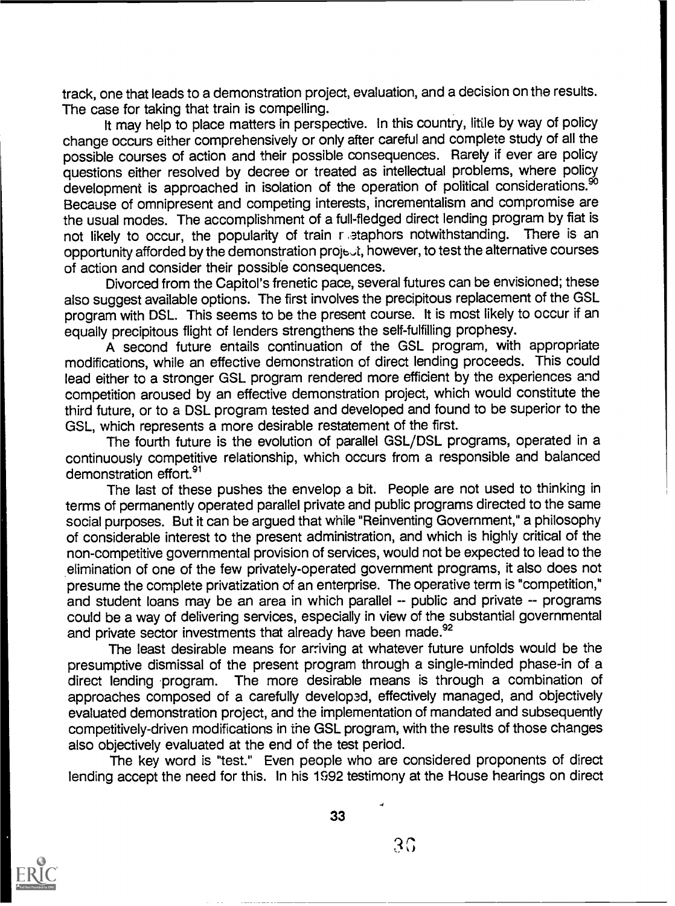track, one that leads to a demonstration project, evaluation, and a decision on the results. The case for taking that train is compelling.

It may help to place matters in perspective. In this country, little by way of policy change occurs either comprehensively or only after careful and complete study of all the possible courses of action and their possible consequences. Rarely if ever are policy questions either resolved by decree or treated as intellectual problems, where policy development is approached in isolation of the operation of political considerations.<sup>90</sup> Because of omnipresent and competing interests, incrementalism and compromise are the usual modes. The accomplishment of a full-fledged direct lending program by fiat is<br>not likely to occur, the popularity of train retaphors notwithstanding. There is an not likely to occur, the popularity of train r staphors notwithstanding. opportunity afforded by the demonstration project, however, to test the alternative courses of action and consider their possible consequences.

Divorced from the Capitol's frenetic pace, several futures can be envisioned; these also suggest available options. The first involves the precipitous replacement of the GSL program with DSL. This seems to be the present course. it is most likely to occur if an equally precipitous flight of lenders strengthens the self-fulfilling prophesy.

A second future entails continuation of the GSL program, with appropriate modifications, while an effective demonstration of direct lending proceeds. This could lead either to a stronger GSL program rendered more efficient by the experiences and competition aroused by an effective demonstration project, which would constitute the third future, or to a DSL program tested and developed and found to be superior to the GSL, which represents a more desirable restatement of the first.

The fourth future is the evolution of parallel GSL/DSL programs, operated in a continuously competitive relationship, which occurs from a responsible and balanced demonstration effort.<sup>91</sup>

The last of these pushes the envelop a bit. People are not used to thinking in terms of permanently operated parallel private and public programs directed to the same social purposes. But it can be argued that while "Reinventing Government," a philosophy of considerable interest to the present administration, and which is highly critical of the non-competitive governmental provision of services, would not be expected to lead to the .elimination of one of the few privately-operated government programs, it also does not presume the complete privatization of an enterprise. The operative term is "competition," and student loans may be an area in which parallel -- public and private -- programs could be a way of delivering services, especially in view of the substantial governmental and private sector investments that already have been made.<sup>92</sup>

The least desirable means for arriving at whatever future unfolds would be the presumptive dismissal of the present program through a single-minded phase-in of a direct lending program. The more desirable means is through a combination of approaches composed of a carefully developed, effectively managed, and objectively evaluated demonstration project, and the implementation of mandated and subsequently competitively-driven modifications in the GSL program, with the results of those changes also objectively evaluated at the end of the test period.

The key word is "test." Even people who are considered proponents of direct lending accept the need for this. In his 1992 testimony at the House hearings on direct

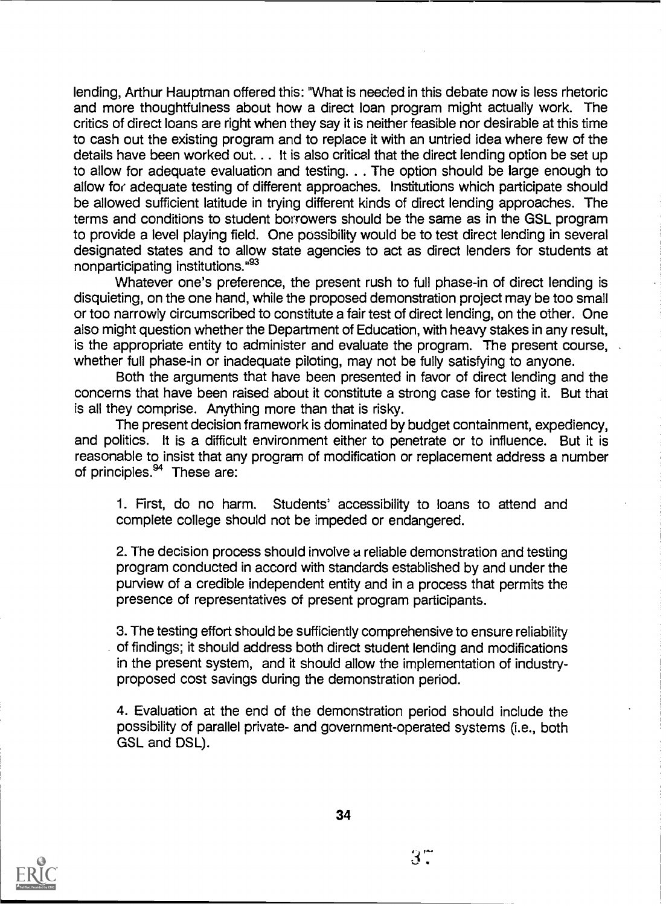lending, Arthur Hauptman offered this: "What is needed in this debate now is less rhetoric and more thoughtfulness about how a direct loan program might actually work. The critics of direct loans are right when they say it is neither feasible nor desirable at this time to cash out the existing program and to replace it with an untried idea where few of the details have been worked out. . . It is also critical that the direct lending option be set up to allow for adequate evaluation and testing. . . The option should be large enough to allow for adequate testing of different approaches. Institutions which participate should be allowed sufficient latitude in trying different kinds of direct lending approaches. The terms and conditions to student borrowers should be the same as in the GSL program to provide a level playing field. One possibility would be to test direct lending in several designated states and to allow state agencies to act as direct lenders for students at nonparticipating institutions."93

Whatever one's preference, the present rush to full phase-in of direct lending is disquieting, on the one hand, while the proposed demonstration project may be too small or too narrowly circumscribed to constitute a fair test of direct lending, on the other. One also might question whether the Department of Education, with heavy stakes in any result, is the appropriate entity to administer and evaluate the program. The present course, whether full phase-in or inadequate piloting, may not be fully satisfying to anyone.

Both the arguments that have been presented in favor of direct lending and the concerns that have been raised about it constitute a strong case for testing it. But that is all they comprise. Anything more than that is risky.

The present decision framework is dominated by budget containment, expediency, and politics. It is a difficult environment either to penetrate or to influence. But it is reasonable to insist that any program of modification or replacement address a number of principles.<sup>94</sup> These are:

1. First, do no harm. Students' accessibility to loans to attend and complete college should not be impeded or endangered.

2. The decision process should involve a reliable demonstration and testing program conducted in accord with standards established by and under the purview of a credible independent entity and in a process that permits the presence of representatives of present program participants.

3. The testing effort should be sufficiently comprehensive to ensure reliability . of findings; it should address both direct student lending and modifications in the present system, and it should allow the implementation of industryproposed cost savings during the demonstration period.

4. Evaluation at the end of the demonstration period should include the possibility of parallel private- and government-operated systems (i.e., both GSL and DSL).



34

 $3^\circ$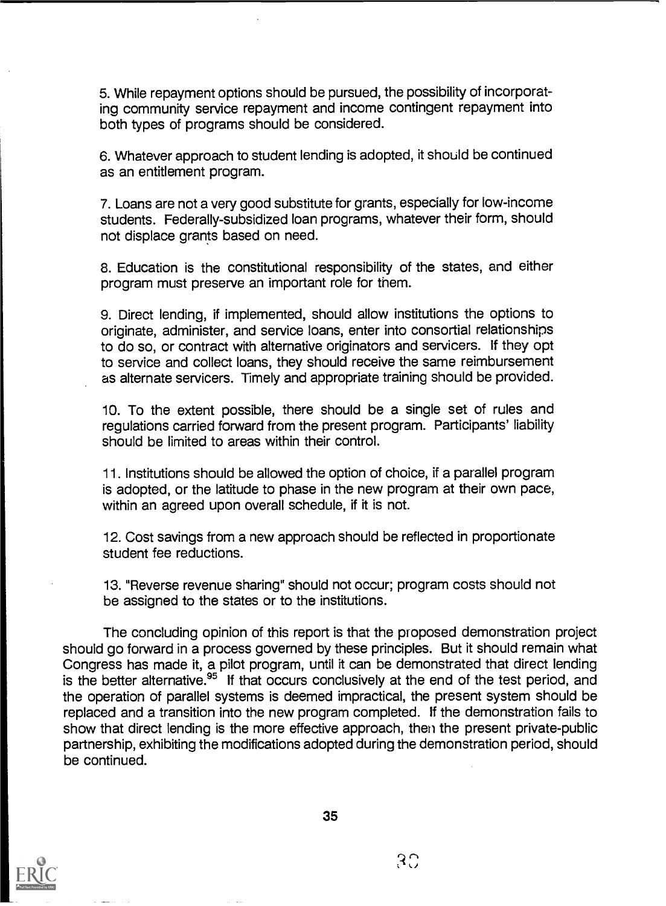5. While repayment options should be pursued, the possibility of incorporating community service repayment and income contingent repayment into both types of programs should be considered.

6. Whatever approach to student lending is adopted, it should be continued as an entitlement program.

7. Loans are not a very good substitute for grants, especially for low-income students. Federally-subsidized loan programs, whatever their form, should not displace grants based on need.

8. Education is the constitutional responsibility of the states, and either program must preserve an important role for them.

9. Direct lending, if implemented, should allow institutions the options to originate, administer, and service loans, enter into consortial relationships to do so, or contract with alternative originators and servicers. If they opt to service and collect loans, they should receive the same reimbursement as alternate servicers. Timely and appropriate training should be provided.

10. To the extent possible, there should be a single set of rules and regulations carried forward from the present program. Participants' liability should be limited to areas within their control.

11. Institutions should be allowed the option of choice, if a parallel program is adopted, or the latitude to phase in the new program at their own pace, within an agreed upon overall schedule, if it is not.

12. Cost savings from a new approach should be reflected in proportionate student fee reductions.

13. "Reverse revenue sharing" should not occur; program costs should not be assigned to the states or to the institutions.

The concluding opinion of this report is that the proposed demonstration project should go forward in a process governed by these principles. But it should remain what Congress has made it, a pilot program, until it can be demonstrated that direct lending is the better alternative.<sup>95</sup> If that occurs conclusively at the end of the test period, and the operation of parallel systems is deemed impractical, the present system should be replaced and a transition into the new program completed. If the demonstration fails to show that direct lending is the more effective approach, then the present private-public partnership, exhibiting the modifications adopted during the demonstration period, should be continued.

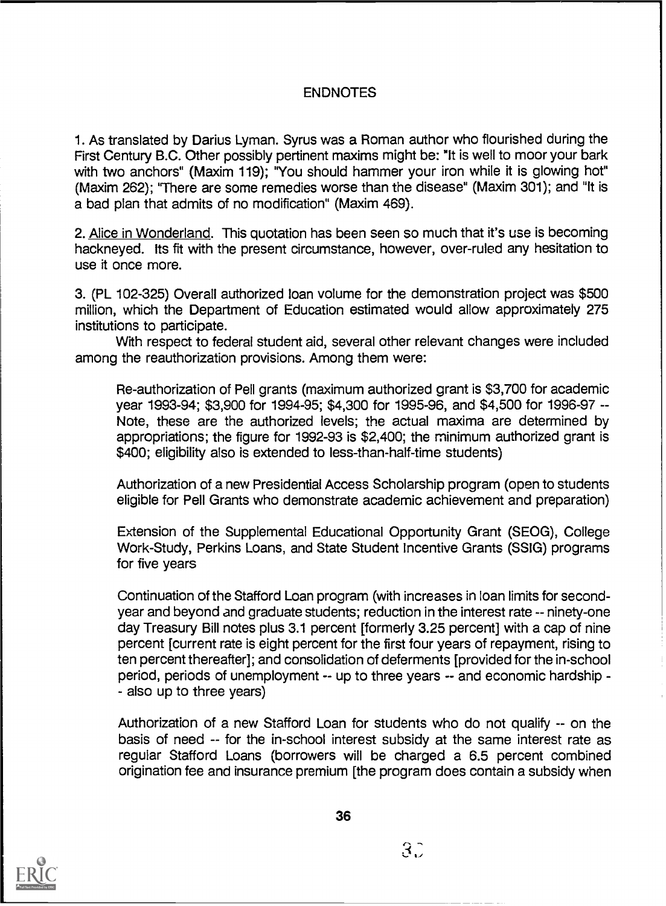# **ENDNOTES**

1. As translated by Darius Lyman. Syrus was a Roman author who flourished during the First Century B.C. Other possibly pertinent maxims might be: "It is well to moor your bark with two anchors" (Maxim 119); "You should hammer your iron while it is glowing hot" (Maxim 262); 'There are some remedies worse than the disease" (Maxim 301); and "It is a bad plan that admits of no modification" (Maxim 469).

2. Alice in Wonderland. This quotation has been seen so much that it's use is becoming hackneyed. Its fit with the present circumstance, however, over-ruled any hesitation to use it once more.

3. (PL 102-325) Overall authorized loan volume for the demonstration project was \$500 million, which the Department of Education estimated would allow approximately 275 institutions to participate.

With respect to federal student aid, several other relevant changes were included among the reauthorization provisions. Among them were:

Re-authorization of Pell grants (maximum authorized grant is \$3,700 for academic year 1993-94; \$3,900 for 1994-95; \$4,300 for 1995-96, and \$4,500 for 1996-97 -- Note, these are the authorized levels; the actual maxima are determined by appropriations; the figure for 1992-93 is \$2,400; the minimum authorized grant is \$400; eligibility also is extended to less-than-half-time students)

Authorization of a new Presidential Access Scholarship program (open to students eligible for Pell Grants who demonstrate academic achievement and preparation)

Extension of the Supplemental Educational Opportunity Grant (SEOG), College Work-Study, Perkins Loans, and State Student Incentive Grants (SSIG) programs for five years

Continuation of the Stafford Loan program (with increases in loan limits for secondyear and beyond and graduate students; reduction in the interest rate -- ninety-one day Treasury Bill notes plus 3.1 percent [formerly 3.25 percent] with a cap of nine percent [current rate is eight percent for the first four years of repayment, rising to ten percent thereafter]; and consolidation of deferments [provided for the in-school period, periods of unemployment -- up to three years -- and economic hardship - - also up to three years)

Authorization of a new Stafford Loan for students who do not qualify -- on the basis of need -- for the in-school interest subsidy at the same interest rate as regular Stafford Loans (borrowers will be charged a 6.5 percent combined origination fee and insurance premium [the program does contain a subsidy when



 $3\tilde{.}$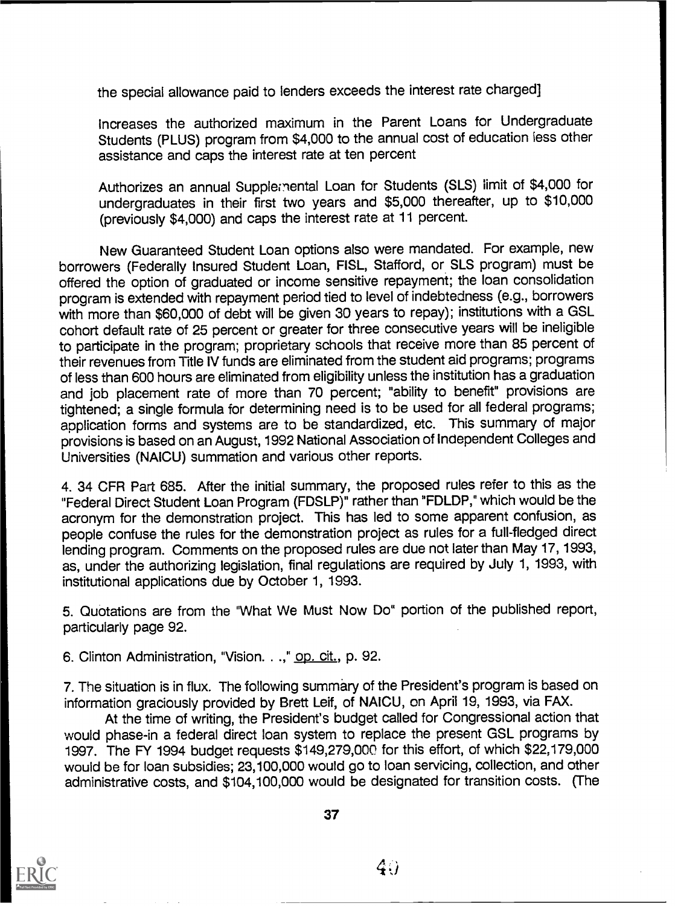the special allowance paid to lenders exceeds the interest rate charged]

Increases the authorized maximum in the Parent Loans for Undergraduate Students (PLUS) program from \$4,000 to the annual cost of education less other assistance and caps the interest rate at ten percent

Authorizes an annual Supplemental Loan for Students (SLS) limit of \$4,000 for undergraduates in their first two years and \$5,000 thereafter, up to \$10,000 (previously \$4,000) and caps the interest rate at 11 percent.

New Guaranteed Student Loan options also were mandated. For example, new borrowers (Federally Insured Student Loan, FISL, Stafford, or SLS program) must be offered the option of graduated or income sensitive repayment; the loan consolidation program is extended with repayment period tied to level of indebtedness (e.g., borrowers with more than \$60,000 of debt will be given 30 years to repay); institutions with a GSL cohort default rate of 25 percent or greater for three consecutive years will be ineligible to participate in the program; proprietary schools that receive more than 85 percent of their revenues from Title IV funds are eliminated from the student aid programs; programs of less than 600 hours are eliminated from eligibility unless the institution has a graduation and job placement rate of more than 70 percent; "ability to benefit" provisions are tightened; a single formula for determining need is to be used for all federal programs; application forms and systems are to be standardized, etc. This summary of major provisions is based on an August, 1992 National Association of Independent Colleges and Universities (NAICU) summation and various other reports.

4. 34 CFR Part 685. After the initial summary, the proposed rules refer to this as the "Federal Direct Student Loan Program (FDSLP)" rather than "FDLDP," which would be the acronym for the demonstration project. This has led to some apparent confusion, as people confuse the rules for the demonstration project as rules for a full-fledged direct lending program. Comments on the proposed rules are due not later than May 17, 1993, as, under the authorizing legislation, final regulations are required by July 1, 1993, with institutional applications due by October 1, 1993.

5. Quotations are from the "What We Must Now Do" portion of the published report, particularly page 92.

6. Clinton Administration, "Vision. . .," op. cit., p. 92.

7. The situation is in flux. The following summary of the President's program is based on information graciously provided by Brett Leif, of NAICU, on April 19, 1993, via FAX.

At the time of writing, the President's budget called for Congressional action that would phase-in a federal direct loan system to replace the present GSL programs by 1997. The FY 1994 budget requests \$149,279,000 for this effort, of which \$22,179,000 would be for loan subsidies; 23,100,000 would go to loan servicing, collection, and other administrative costs, and \$104,100,000 would be designated for transition costs. (The



 $40$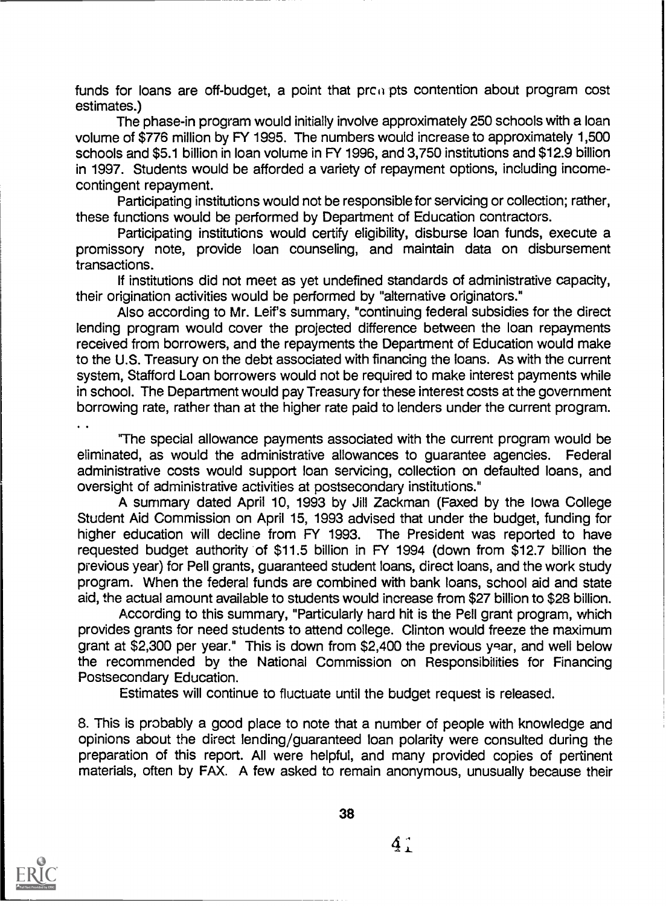funds for loans are off-budget, a point that  $pre@{n}$  pts contention about program cost estimates.)

The phase-in program would initially involve approximately 250 schools with a loan volume of \$776 million by FY 1995. The numbers would increase to approximately 1,500 schools and \$5.1 billion in loan volume in FY 1996, and 3,750 institutions and \$12.9 billion in 1997. Students would be afforded a variety of repayment options, including incomecontingent repayment.

Participating institutions would not be responsible for servicing or collection; rather, these functions would be performed by Department of Education contractors.

Participating institutions would certify eligibility, disburse loan funds, execute a promissory note, provide loan counseling, and maintain data on disbursement transactions.

If institutions did not meet as yet undefined standards of administrative capacity, their origination activities would be performed by "alternative originators."

Also according to Mr. Leif's summary, "continuing federal subsidies for the direct lending program would cover the projected difference between the loan repayments received from borrowers, and the repayments the Department of Education would make to the U.S. Treasury on the debt associated with financing the loans. As with the current system, Stafford Loan borrowers would not be required to make interest payments while in school. The Department would pay Treasury for these interest costs at the government borrowing rate, rather than at the higher rate paid to lenders under the current program.

'The special allowance payments associated with the current program would be eliminated, as would the administrative allowances to guarantee agencies. Federal administrative costs would support loan servicing, collection on defaulted loans, and oversight of administrative activities at postsecondary institutions."

A summary dated April 10, 1993 by Jill Zackman (Faxed by the Iowa College Student Aid Commission on April 15, 1993 advised that under the budget, funding for higher education will decline from FY 1993. The President was reported to have requested budget authority of \$11.5 billion in FY 1994 (down from \$12.7 billion the previous year) for Pell grants, guaranteed student loans, direct loans, and the work study program. When the federal funds are combined with bank loans, school aid and state aid, the actual amount available to students would increase from \$27 billion to \$28 billion.

According to this summary, "Particularly hard hit is the Pell grant program, which provides grants for need students to attend college. Clinton would freeze the maximum grant at \$2,300 per year." This is down from \$2,400 the previous year, and well below the recommended by the National Commission on Responsibilities for Financing Postsecondary Education.

Estimates will continue to fluctuate until the budget request is released.

8. This is probably a good place to note that a number of people with knowledge and opinions about the direct lending/guaranteed loan polarity were consulted during the preparation of this report. All were helpful, and many provided copies of pertinent materials, often by FAX. A few asked to remain anonymous, unusually because their



38

 $\frac{4}{4}$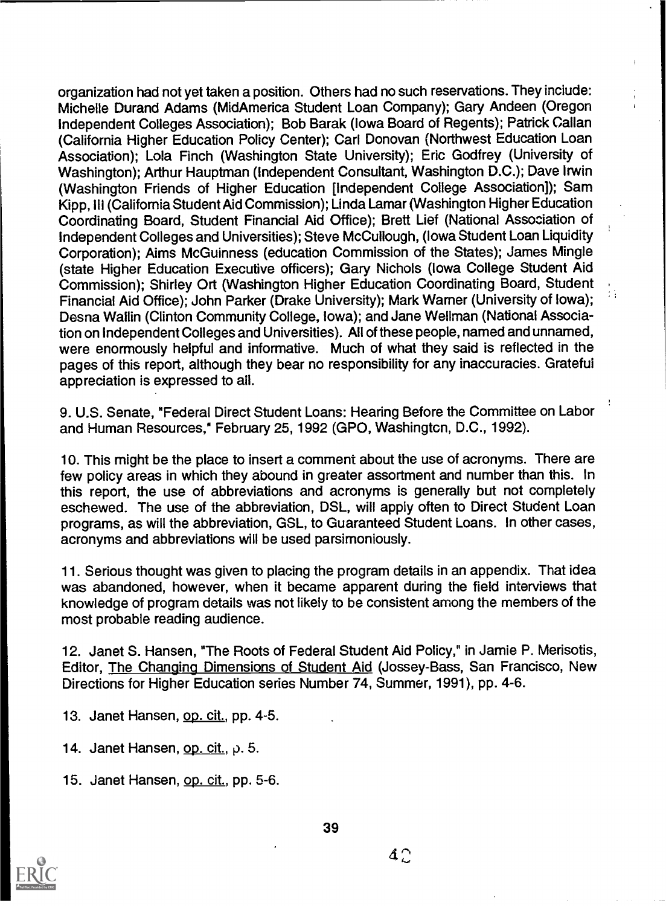organization had not yet taken a position. Others had no such reservations. They include: Michelle Durand Adams (MidAmerica Student Loan Company); Gary Andeen (Oregon Independent Colleges Association); Bob Barak (Iowa Board of Regents); Patrick Callan (California Higher Education Policy Center); Carl Donovan (Northwest Education Loan Association); Lola Finch (Washington State University); Eric Godfrey (University of Washington); Arthur Hauptman (Independent Consultant, Washington D.C.); Dave Irwin (Washington Friends of Higher Education [Independent College Association]); Sam Kipp, Ill (California Student Aid Commission); Linda Lamar (Washington Higher Education Coordinating Board, Student Financial Aid Office); Brett Lief (National Association of Independent Colleges and Universities); Steve McCullough, (Iowa Student Loan Liquidity Corporation); Aims McGuinness (education Commission of the States); James Mingle (state Higher Education Executive officers); Gary Nichols (Iowa College Student Aid Commission); Shirley Ort (Washington Higher Education Coordinating Board, Student Financial Aid Office); John Parker (Drake University); Mark Warner (University of Iowa); Desna Wallin (Clinton Community College, Iowa); and Jane Wellman (National Association on Independent Colleges and Universities). All of these people, named and unnamed, were enormously helpful and informative. Much of what they said is reflected in the pages of this report, although they bear no responsibility for any inaccuracies. Grateful appreciation is expressed to all.

9. U.S. Senate, "Federal Direct Student Loans: Hearing Before the Committee on Labor and Human Resources," February 25, 1992 (GPO, Washington, D.C., 1992).

10. This might be the place to insert a comment about the use of acronyms. There are few policy areas in which they abound in greater assortment and number than this. In this report, the use of abbreviations and acronyms is generally but not completely eschewed. The use of the abbreviation, DSL, will apply often to Direct Student Loan programs, as will the abbreviation, GSL, to Guaranteed Student Loans. In other cases, acronyms and abbreviations will be used parsimoniously.

11. Serious thought was given to placing the program details in an appendix. That idea was abandoned, however, when it became apparent during the field interviews that knowledge of program details was not likely to be consistent among the members of the most probable reading audience.

12. Janet S. Hansen, "The Roots of Federal Student Aid Policy," in Jamie P. Merisotis, Editor, The Changing Dimensions of Student Aid (Jossey-Bass, San Francisco, New Directions for Higher Education series Number 74, Summer, 1991), pp. 4-6.

13. Janet Hansen, op. cit., pp. 4-5.

14. Janet Hansen, op.  $\text{cit.}, \rho. 5$ .

15. Janet Hansen, op. cit., pp. 5-6.



 $4^\circ$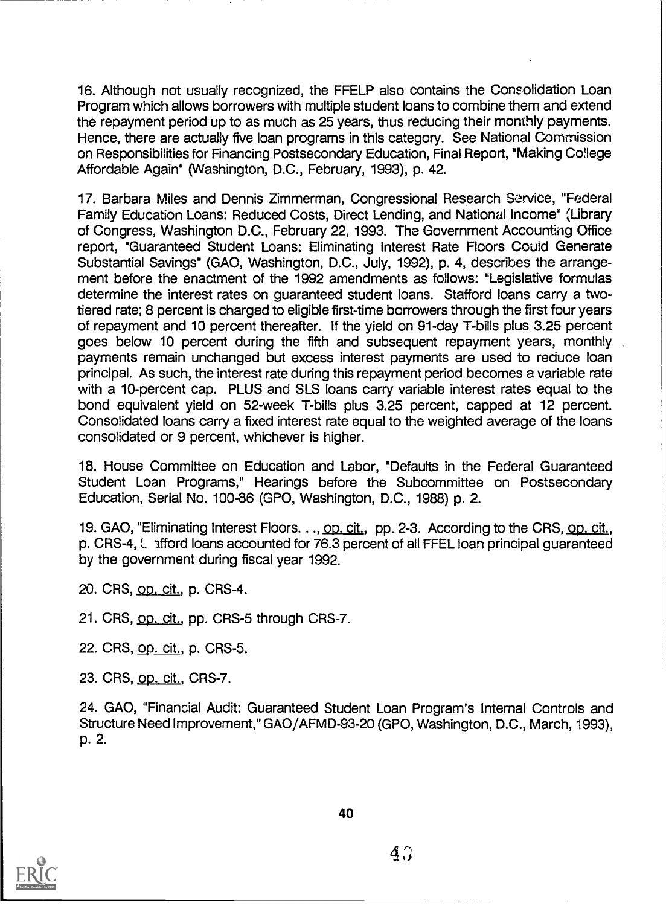16. Although not usually recognized, the FFELP also contains the Consolidation Loan Program which allows borrowers with multiple student loans to combine them and extend the repayment period up to as much as 25 years, thus reducing their monthly payments. Hence, there are actually five loan programs in this category. See National Commission on Responsibilities for Financing Postsecondary Education, Final Report, "Making College Affordable Again" (Washington, D.C., February, 1993), p. 42.

17. Barbara Miles and Dennis Zimmerman, Congressional Research Service, "Federal Family Education Loans: Reduced Costs, Direct Lending, and National Income" (Library of Congress, Washington D.C., February 22, 1993. The Government Accounting Office report, "Guaranteed Student Loans: Eliminating Interest Rate Floors Could Generate Substantial Savings" (GAO, Washington, D.C., July, 1992), p. 4, describes the arrangement before the enactment of the 1992 amendments as follows: "Legislative formulas determine the interest rates on guaranteed student loans. Stafford loans carry a twotiered rate; 8 percent is charged to eligible first-time borrowers through the first four years of repayment and 10 percent thereafter. If the yield on 91-day T-bills plus 3.25 percent goes below 10 percent during the fifth and subsequent repayment years, monthly payments remain unchanged but excess interest payments are used to reduce loan principal. As such, the interest rate during this repayment period becomes a variable rate with a 10-percent cap. PLUS and SLS loans carry variable interest rates equal to the bond equivalent yield on 52-week T-bills plus 3.25 percent, capped at 12 percent. Consolidated loans carry a fixed interest rate equal to the weighted average of the loans consolidated or 9 percent, whichever is higher.

18. House Committee on Education and Labor, "Defaults in the Federal Guaranteed Student Loan Programs," Hearings before the Subcommittee on Postsecondary Education, Serial No. 100-86 (GPO, Washington, D.C., 1988) p. 2.

19. GAO, "Eliminating Interest Floors. . ., op. cit., pp. 2-3. According to the CRS, op. cit., p. CRS-4, L afford loans accounted for 76.3 percent of all FFEL loan principal guaranteed by the government during fiscal year 1992.

20. CRS, op. cit., p. CRS-4.

21. CRS, op. cit., pp. CRS-5 through CRS-7.

22. CRS, op. cit., p. CRS-5.

23. CRS, op. cit., CRS-7.

24. GAO, "Financial Audit: Guaranteed Student Loan Program's Internal Controls and Structure Need Improvement," GAO/AFMD-93-20 (GPO, Washington, D.C., March, 1993), p. 2.



40

 $4\degree$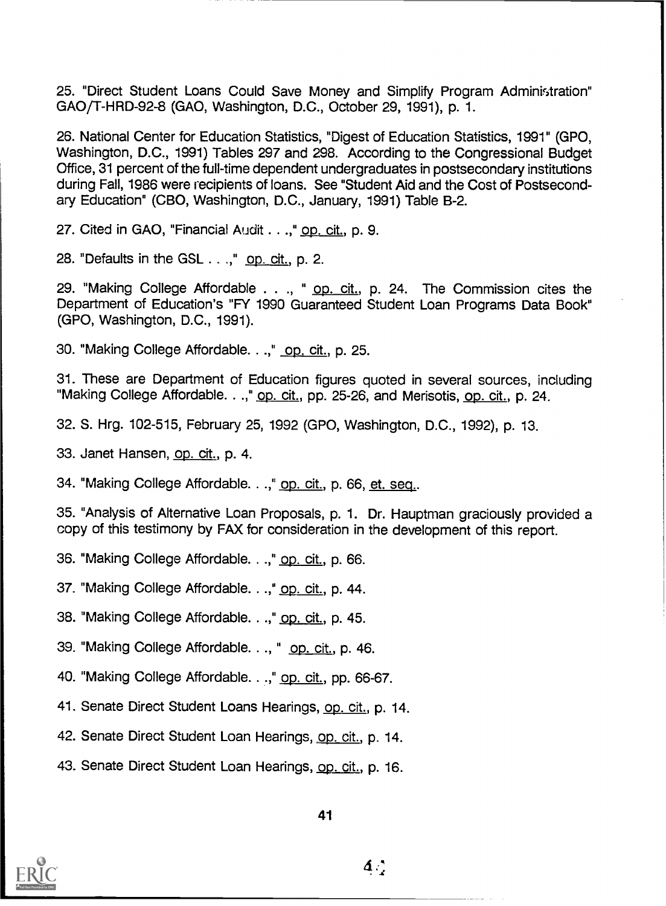25. "Direct Student Loans Could Save Money and Simplify Program Administration" GAO/T-HRD-92-8 (GAO, Washington, D.C., October 29, 1991), p. 1.

26. National Center for Education Statistics, "Digest of Education Statistics, 1991" (GPO, Washington, D.C., 1991) Tables 297 and 298. According to the Congressional Budget Office, 31 percent of the full-time dependent undergraduates in postsecondary institutions during Fall, 1986 were recipients of loans. See "Student Aid and the Cost of Postsecondary Education" (CBO, Washington, D.C., January, 1991) Table B-2.

27. Cited in GAO, "Financial Audit . . .," op. cit., p. 9.

28. "Defaults in the GSL . .," op. cit., p. 2.

29. "Making College Affordable . . ., " op. cit., p. 24. The Commission cites the Department of Education's "FY 1990 Guaranteed Student Loan Programs Data Book" (GPO, Washington, D.C., 1991).

30. "Making College Affordable. . .," op. cit., p. 25.

31. These are Department of Education figures quoted in several sources, including "Making College Affordable. . .," op. cit., pp. 25-26, and Merisotis, op. cit., p. 24.

32. S. Hrg. 102-515, February 25, 1992 (GPO, Washington, D.C., 1992), p. 13.

33. Janet Hansen, op. cit., p. 4.

34. "Making College Affordable. . .," op. cit., p. 66, et. seq..

35. "Analysis of Alternative Loan Proposals, p. 1. Dr. Hauptman graciously provided a copy of this testimony by FAX for consideration in the development of this report.

36. "Making College Affordable. . .," op. cit., p. 66.

37. "Making College Affordable. . .," op. cit., p. 44.

38. "Making College Affordable. . .," op. cit., p. 45.

39. "Making College Affordable..., " op. cit., p. 46.

40. "Making College Affordable. . .," op. cit., pp. 66-67.

41. Senate Direct Student Loans Hearings, op. cit., p. 14.

42. Senate Direct Student Loan Hearings, op. cit., p. 14.

43. Senate Direct Student Loan Hearings, op. cit., p. 16.



 $\Delta \phi$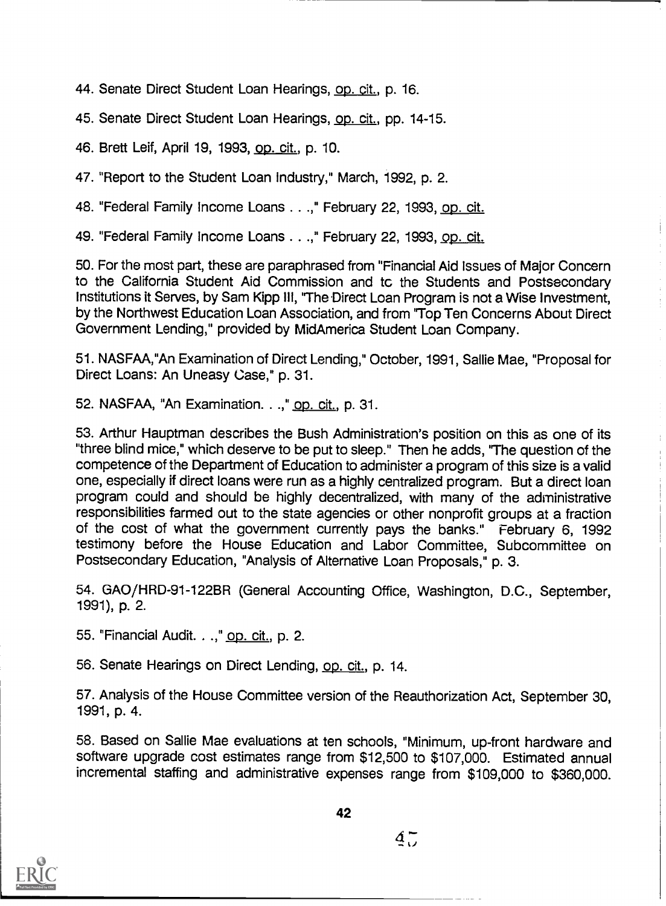44. Senate Direct Student Loan Hearings, op. cit., p. 16.

45. Senate Direct Student Loan Hearings, op. cit., pp. 14-15.

46. Brett Leif, April 19, 1993, op. cit., p. 10.

47. "Report to the Student Loan Industry," March, 1992, p. 2.

48. "Federal Family Income Loans . . .," February 22, 1993, op. cit.

49. "Federal Family Income Loans . . .," February 22, 1993, op. cit.

50. For the most part, these are paraphrased from "Financial Aid Issues of Major Concern to the California Student Aid Commission and tc the Students and Postsecondary Institutions it Serves, by Sam Kipp III, "The Direct Loan Program is not a Wise Investment, by the Northwest Education Loan Association, and from 'Top Ten Concerns About Direct Government Lending," provided by MidAmerica Student Loan Company.

51. NASFAA,"An Examination of Direct Lending," October, 1991, Sallie Mae, "Proposal for Direct Loans: An Uneasy Case," p. 31.

52. NASFAA, "An Examination. . .," op. cit., p. 31.

53. Arthur Hauptman describes the Bush Administration's position on this as one of its "three blind mice," which deserve to be put to sleep." Then he adds, 'The question of the competence of the Department of Education to administer a program of this size is a valid one, especially if direct loans were run as a highly centralized program. But a direct loan program could and should be highly decentralized, with many of the administrative responsibilities farmed out to the state agencies or other nonprofit groups at a fraction of the cost of what the government currently pays the banks." February 6, 1992 testimony before the House Education and Labor Committee, Subcommittee on Postsecondary Education, "Analysis of Alternative Loan Proposals," p. 3.

54. GAO/HRD-91-122BR (General Accounting Office, Washington, D.C., September, 1991), p. 2.

55. "Financial Audit. . .," op. cit., p. 2.

56. Senate Hearings on Direct Lending, op. cit., p. 14.

57. Analysis of the House Committee version of the Reauthorization Act, September 30, 1991, p. 4.

58. Based on Sallie Mae evaluations at ten schools, "Minimum, up-front hardware and software upgrade cost estimates range from \$12,500 to \$107,000. Estimated annual incremental staffing and administrative expenses range from \$109,000 to \$360,000.



42

 $4<sub>7</sub>$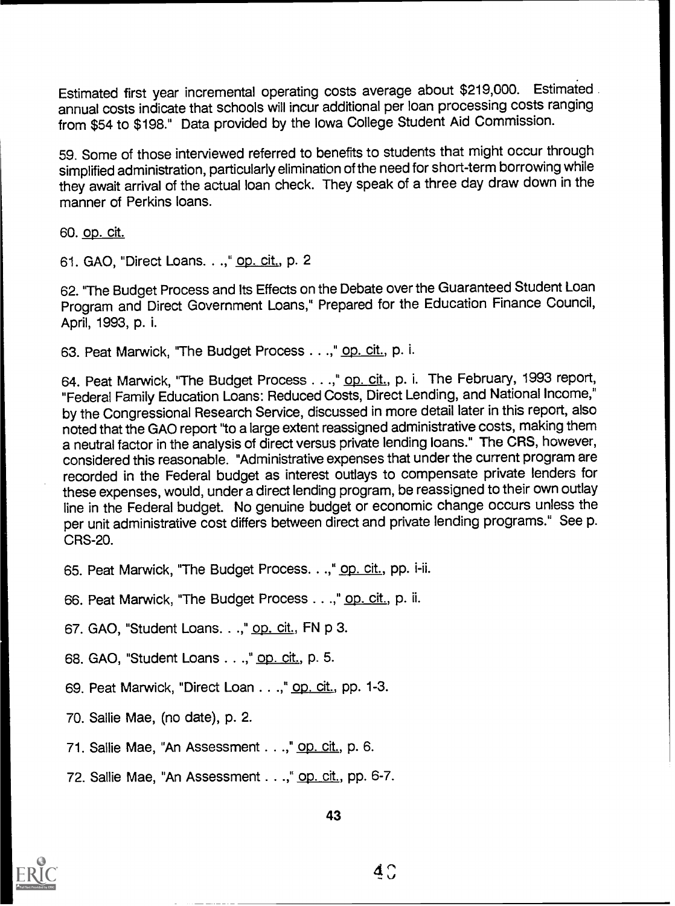Estimated first year incremental operating costs average about \$219,000. Estimated annual costs indicate that schools will incur additional per loan processing costs ranging from \$54 to \$198." Data provided by the Iowa College Student Aid Commission.

59. Some of those interviewed referred to benefits to students that might occur through simplified administration, particularly elimination of the need for short-term borrowing while they await arrival of the actual loan check. They speak of a three day draw down in the manner of Perkins loans.

60. op. cit.

61. GAO, "Direct Loans. . .," op. cit., p. 2

62. "The Budget Process and Its Effects on the Debate over the Guaranteed Student Loan Program and Direct Government Loans," Prepared for the Education Finance Council, April, 1993, p. i.

63. Peat Marwick, "The Budget Process . . .," op. cit., p. i.

64. Peat Marwick, "The Budget Process . . .," op. cit., p. i. The February, 1993 report, "Federal Family Education Loans: Reduced Costs, Direct Lending, and National Income," by the Congressional Research Service, discussed in more detail later in this report, also noted that the GAO report "to a large extent reassigned administrative costs, making them a neutral factor in the analysis of direct versus private lending loans." The CRS, however, considered this reasonable. "Administrative expenses that under the current program are recorded in the Federal budget as interest outlays to compensate private lenders for these expenses, would, under a direct lending program, be reassigned to their own outlay line in the Federal budget. No genuine budget or economic change occurs unless the per unit administrative cost differs between direct and private lending programs." See p. CRS-20.

65. Peat Marwick, "The Budget Process. . .," op. cit., pp. i-ii.

66. Peat Marwick, "The Budget Process . . .," op. cit., p. ii.

67. GAO, "Student Loans. . .," op. cit., FN p 3.

68. GAO, "Student Loans . . .," op. cit., p. 5.

69. Peat Marwick, "Direct Loan . . .," op. cit., pp. 1-3.

70. Sallie Mae, (no date), p. 2.

71. Sallie Mae, "An Assessment . .," op. cit., p. 6.

72. Sallie Mae, "An Assessment . . .," op. cit., pp. 6-7.

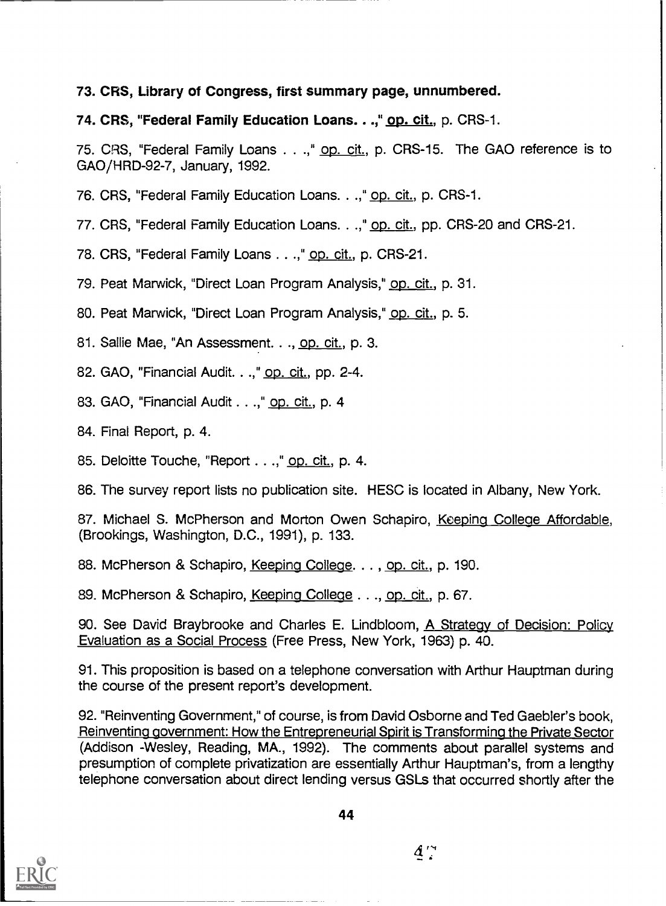# 73. CRS, Library of Congress, first summary page, unnumbered.

# 74. CRS, "Federal Family Education Loans. ..," op. cit., p. CRS-1.

75. CRS, "Federal Family Loans . . .," op. cit., p. CRS-15. The GAO reference is to GAO/HRD-92-7, January, 1992.

76. CRS, "Federal Family Education Loans. . .," op. cit., p. CRS-1.

77. CRS, "Federal Family Education Loans. . .," op. cit., pp. CRS-20 and CRS-21.

78. CRS, "Federal Family Loans . . .," op. cit., p. CRS-21.

79. Peat Marwick, "Direct Loan Program Analysis," op. cit., p. 31.

80. Peat Marwick, "Direct Loan Program Analysis," op. cit., p. 5.

81. Sallie Mae, "An Assessment. . ., op. cit., p. 3.

82. GAO, "Financial Audit. . .," op. cit., pp. 2-4.

83. GAO, "Financial Audit . .," op. cit., p. 4

84. Final Report, p. 4.

85. Deloitte Touche, "Report . . .," op. cit., p. 4.

86. The survey report lists no publication site. HESC is located in Albany, New York.

87. Michael S. McPherson and Morton Owen Schapiro, Keeping College Affordable, (Brookings, Washington, D.C., 1991), p. 133.

88. McPherson & Schapiro, Keeping College. . . , op. cit., p. 190.

89. McPherson & Schapiro, Keeping College . . ., op. cit., p. 67.

90. See David Braybrooke and Charles E. Lindbloom, A Strategy of Decision: Policy Evaluation as a Social Process (Free Press, New York, 1963) p. 40.

91. This proposition is based on a telephone conversation with Arthur Hauptman during the course of the present report's development.

92. "Reinventing Government," of course, is from David Osborne and Ted Gaebler's book, Reinventing government: How the Entrepreneurial Spirit is Transforming the Private Sector (Addison -Wesley, Reading, MA., 1992). The comments about parallel systems and presumption of complete privatization are essentially Arthur Hauptman's, from a lengthy telephone conversation about direct lending versus GSLs that occurred shortly after the



 $4^{\prime}$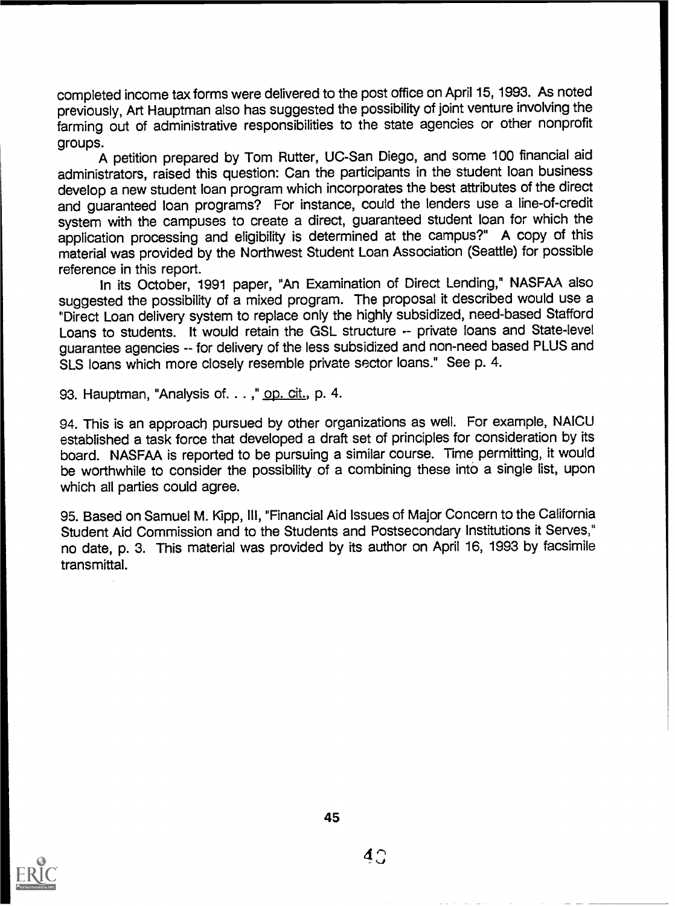completed income tax forms were delivered to the post office on April 15, 1993. As noted previously, Art Hauptman also has suggested the possibility of joint venture involving the farming out of administrative responsibilities to the state agencies or other nonprofit groups.

A petition prepared by Tom Rutter, UC-San Diego, and some 100 financial aid administrators, raised this question: Can the participants in the student loan business develop a new student loan program which incorporates the best attributes of the direct and guaranteed loan programs? For instance, could the lenders use a line-of-credit system with the campuses to create a direct, guaranteed student loan for which the application processing and eligibility is determined at the campus?" A copy of this material was provided by the Northwest Student Loan Association (Seattle) for possible reference in this report.

In its October, 1991 paper, "An Examination of Direct Lending," NASFAA also suggested the possibility of a mixed program. The proposal it described would use a "Direct Loan delivery system to replace only the highly subsidized, need-based Stafford Loans to students. It would retain the GSL structure -- private loans and State-level guarantee agencies -- for delivery of the less subsidized and non-need based PLUS and SLS loans which more closely resemble private sector loans." See p. 4.

93. Hauptman, "Analysis of... ," op. cit., p. 4.

94. This is an approach pursued by other organizations as well. For example, NAICU established a task force that developed a draft set of principles for consideration by its board. NASFAA is reported to be pursuing a similar course. Time permitting, it would be worthwhile to consider the possibility of a combining these into a single list, upon which all parties could agree.

95. Based on Samuel M. Kipp, III, "Financial Aid Issues of Major Concern to the California Student Aid Commission and to the Students and Postsecondary Institutions it Serves," no date, p. 3. This material was provided by its author on April 16, 1993 by facsimile transmittal.



 $4<sub>1</sub>$